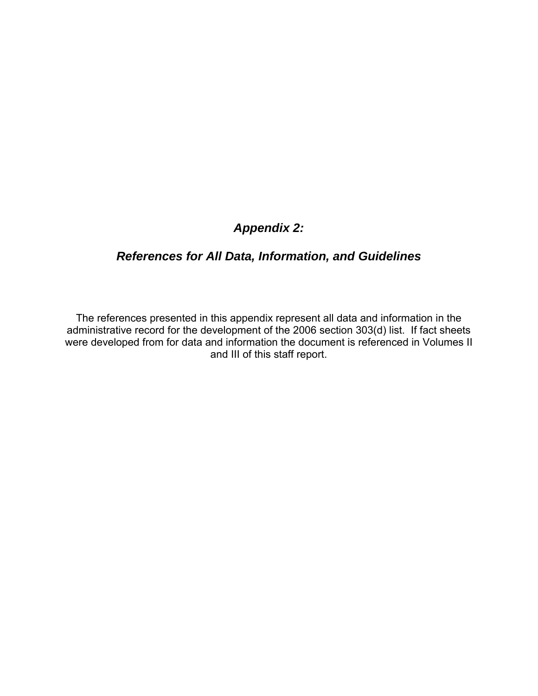# *Appendix 2:*

# *References for All Data, Information, and Guidelines*

The references presented in this appendix represent all data and information in the administrative record for the development of the 2006 section 303(d) list. If fact sheets were developed from for data and information the document is referenced in Volumes II and III of this staff report.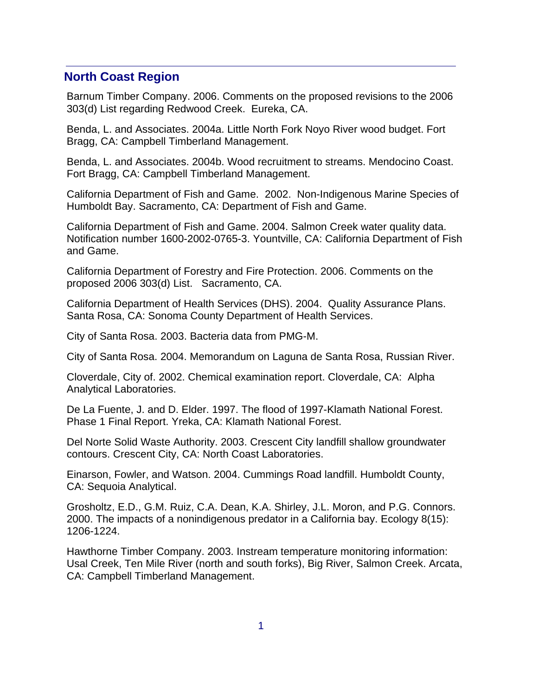### **North Coast Region**

Barnum Timber Company. 2006. Comments on the proposed revisions to the 2006 303(d) List regarding Redwood Creek. Eureka, CA.

Benda, L. and Associates. 2004a. Little North Fork Noyo River wood budget. Fort Bragg, CA: Campbell Timberland Management.

Benda, L. and Associates. 2004b. Wood recruitment to streams. Mendocino Coast. Fort Bragg, CA: Campbell Timberland Management.

California Department of Fish and Game. 2002. Non-Indigenous Marine Species of Humboldt Bay. Sacramento, CA: Department of Fish and Game.

California Department of Fish and Game. 2004. Salmon Creek water quality data. Notification number 1600-2002-0765-3. Yountville, CA: California Department of Fish and Game.

California Department of Forestry and Fire Protection. 2006. Comments on the proposed 2006 303(d) List. Sacramento, CA.

California Department of Health Services (DHS). 2004. Quality Assurance Plans. Santa Rosa, CA: Sonoma County Department of Health Services.

City of Santa Rosa. 2003. Bacteria data from PMG-M.

City of Santa Rosa. 2004. Memorandum on Laguna de Santa Rosa, Russian River.

Cloverdale, City of. 2002. Chemical examination report. Cloverdale, CA: Alpha Analytical Laboratories.

De La Fuente, J. and D. Elder. 1997. The flood of 1997-Klamath National Forest. Phase 1 Final Report. Yreka, CA: Klamath National Forest.

Del Norte Solid Waste Authority. 2003. Crescent City landfill shallow groundwater contours. Crescent City, CA: North Coast Laboratories.

Einarson, Fowler, and Watson. 2004. Cummings Road landfill. Humboldt County, CA: Sequoia Analytical.

Grosholtz, E.D., G.M. Ruiz, C.A. Dean, K.A. Shirley, J.L. Moron, and P.G. Connors. 2000. The impacts of a nonindigenous predator in a California bay. Ecology 8(15): 1206-1224.

Hawthorne Timber Company. 2003. Instream temperature monitoring information: Usal Creek, Ten Mile River (north and south forks), Big River, Salmon Creek. Arcata, CA: Campbell Timberland Management.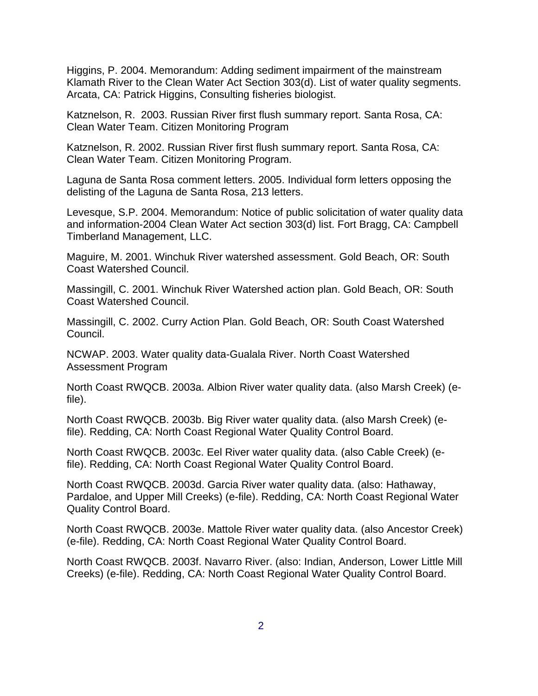Higgins, P. 2004. Memorandum: Adding sediment impairment of the mainstream Klamath River to the Clean Water Act Section 303(d). List of water quality segments. Arcata, CA: Patrick Higgins, Consulting fisheries biologist.

Katznelson, R. 2003. Russian River first flush summary report. Santa Rosa, CA: Clean Water Team. Citizen Monitoring Program

Katznelson, R. 2002. Russian River first flush summary report. Santa Rosa, CA: Clean Water Team. Citizen Monitoring Program.

Laguna de Santa Rosa comment letters. 2005. Individual form letters opposing the delisting of the Laguna de Santa Rosa, 213 letters.

Levesque, S.P. 2004. Memorandum: Notice of public solicitation of water quality data and information-2004 Clean Water Act section 303(d) list. Fort Bragg, CA: Campbell Timberland Management, LLC.

Maguire, M. 2001. Winchuk River watershed assessment. Gold Beach, OR: South Coast Watershed Council.

Massingill, C. 2001. Winchuk River Watershed action plan. Gold Beach, OR: South Coast Watershed Council.

Massingill, C. 2002. Curry Action Plan. Gold Beach, OR: South Coast Watershed Council.

NCWAP. 2003. Water quality data-Gualala River. North Coast Watershed Assessment Program

North Coast RWQCB. 2003a. Albion River water quality data. (also Marsh Creek) (efile).

North Coast RWQCB. 2003b. Big River water quality data. (also Marsh Creek) (efile). Redding, CA: North Coast Regional Water Quality Control Board.

North Coast RWQCB. 2003c. Eel River water quality data. (also Cable Creek) (efile). Redding, CA: North Coast Regional Water Quality Control Board.

North Coast RWQCB. 2003d. Garcia River water quality data. (also: Hathaway, Pardaloe, and Upper Mill Creeks) (e-file). Redding, CA: North Coast Regional Water Quality Control Board.

North Coast RWQCB. 2003e. Mattole River water quality data. (also Ancestor Creek) (e-file). Redding, CA: North Coast Regional Water Quality Control Board.

North Coast RWQCB. 2003f. Navarro River. (also: Indian, Anderson, Lower Little Mill Creeks) (e-file). Redding, CA: North Coast Regional Water Quality Control Board.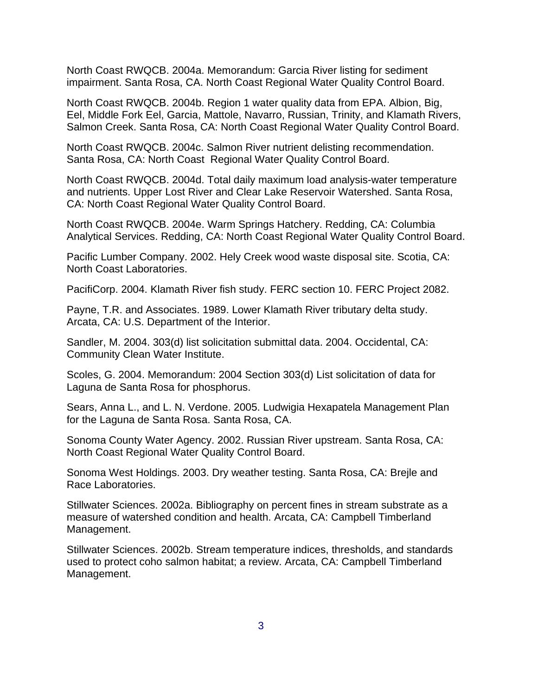North Coast RWQCB. 2004a. Memorandum: Garcia River listing for sediment impairment. Santa Rosa, CA. North Coast Regional Water Quality Control Board.

North Coast RWQCB. 2004b. Region 1 water quality data from EPA. Albion, Big, Eel, Middle Fork Eel, Garcia, Mattole, Navarro, Russian, Trinity, and Klamath Rivers, Salmon Creek. Santa Rosa, CA: North Coast Regional Water Quality Control Board.

North Coast RWQCB. 2004c. Salmon River nutrient delisting recommendation. Santa Rosa, CA: North Coast Regional Water Quality Control Board.

North Coast RWQCB. 2004d. Total daily maximum load analysis-water temperature and nutrients. Upper Lost River and Clear Lake Reservoir Watershed. Santa Rosa, CA: North Coast Regional Water Quality Control Board.

North Coast RWQCB. 2004e. Warm Springs Hatchery. Redding, CA: Columbia Analytical Services. Redding, CA: North Coast Regional Water Quality Control Board.

Pacific Lumber Company. 2002. Hely Creek wood waste disposal site. Scotia, CA: North Coast Laboratories.

PacifiCorp. 2004. Klamath River fish study. FERC section 10. FERC Project 2082.

Payne, T.R. and Associates. 1989. Lower Klamath River tributary delta study. Arcata, CA: U.S. Department of the Interior.

Sandler, M. 2004. 303(d) list solicitation submittal data. 2004. Occidental, CA: Community Clean Water Institute.

Scoles, G. 2004. Memorandum: 2004 Section 303(d) List solicitation of data for Laguna de Santa Rosa for phosphorus.

Sears, Anna L., and L. N. Verdone. 2005. Ludwigia Hexapatela Management Plan for the Laguna de Santa Rosa. Santa Rosa, CA.

Sonoma County Water Agency. 2002. Russian River upstream. Santa Rosa, CA: North Coast Regional Water Quality Control Board.

Sonoma West Holdings. 2003. Dry weather testing. Santa Rosa, CA: Brejle and Race Laboratories.

Stillwater Sciences. 2002a. Bibliography on percent fines in stream substrate as a measure of watershed condition and health. Arcata, CA: Campbell Timberland Management.

Stillwater Sciences. 2002b. Stream temperature indices, thresholds, and standards used to protect coho salmon habitat; a review. Arcata, CA: Campbell Timberland Management.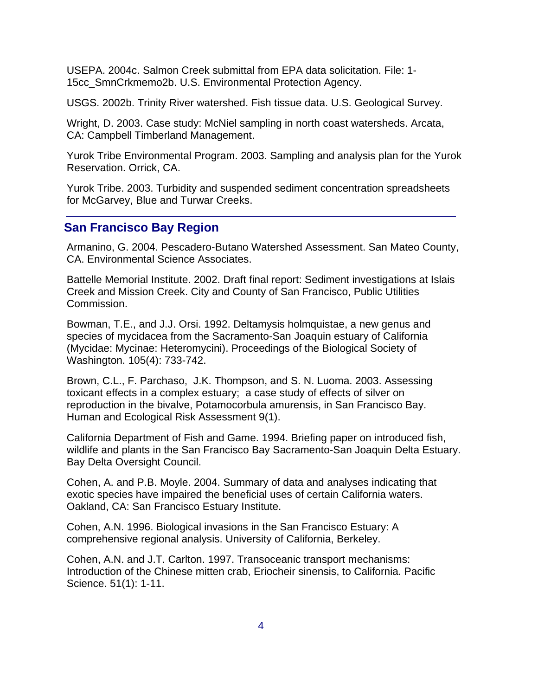USEPA. 2004c. Salmon Creek submittal from EPA data solicitation. File: 1- 15cc\_SmnCrkmemo2b. U.S. Environmental Protection Agency.

USGS. 2002b. Trinity River watershed. Fish tissue data. U.S. Geological Survey.

Wright, D. 2003. Case study: McNiel sampling in north coast watersheds. Arcata, CA: Campbell Timberland Management.

Yurok Tribe Environmental Program. 2003. Sampling and analysis plan for the Yurok Reservation. Orrick, CA.

Yurok Tribe. 2003. Turbidity and suspended sediment concentration spreadsheets for McGarvey, Blue and Turwar Creeks.

# **San Francisco Bay Region**

Armanino, G. 2004. Pescadero-Butano Watershed Assessment. San Mateo County, CA. Environmental Science Associates.

Battelle Memorial Institute. 2002. Draft final report: Sediment investigations at Islais Creek and Mission Creek. City and County of San Francisco, Public Utilities Commission.

Bowman, T.E., and J.J. Orsi. 1992. Deltamysis holmquistae, a new genus and species of mycidacea from the Sacramento-San Joaquin estuary of California (Mycidae: Mycinae: Heteromycini). Proceedings of the Biological Society of Washington. 105(4): 733-742.

Brown, C.L., F. Parchaso, J.K. Thompson, and S. N. Luoma. 2003. Assessing toxicant effects in a complex estuary; a case study of effects of silver on reproduction in the bivalve, Potamocorbula amurensis, in San Francisco Bay. Human and Ecological Risk Assessment 9(1).

California Department of Fish and Game. 1994. Briefing paper on introduced fish, wildlife and plants in the San Francisco Bay Sacramento-San Joaquin Delta Estuary. Bay Delta Oversight Council.

Cohen, A. and P.B. Moyle. 2004. Summary of data and analyses indicating that exotic species have impaired the beneficial uses of certain California waters. Oakland, CA: San Francisco Estuary Institute.

Cohen, A.N. 1996. Biological invasions in the San Francisco Estuary: A comprehensive regional analysis. University of California, Berkeley.

Cohen, A.N. and J.T. Carlton. 1997. Transoceanic transport mechanisms: Introduction of the Chinese mitten crab, Eriocheir sinensis, to California. Pacific Science. 51(1): 1-11.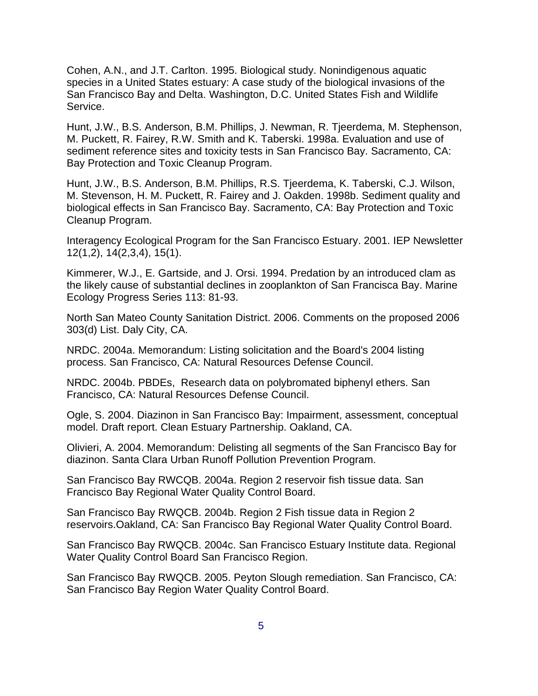Cohen, A.N., and J.T. Carlton. 1995. Biological study. Nonindigenous aquatic species in a United States estuary: A case study of the biological invasions of the San Francisco Bay and Delta. Washington, D.C. United States Fish and Wildlife Service.

Hunt, J.W., B.S. Anderson, B.M. Phillips, J. Newman, R. Tjeerdema, M. Stephenson, M. Puckett, R. Fairey, R.W. Smith and K. Taberski. 1998a. Evaluation and use of sediment reference sites and toxicity tests in San Francisco Bay. Sacramento, CA: Bay Protection and Toxic Cleanup Program.

Hunt, J.W., B.S. Anderson, B.M. Phillips, R.S. Tjeerdema, K. Taberski, C.J. Wilson, M. Stevenson, H. M. Puckett, R. Fairey and J. Oakden. 1998b. Sediment quality and biological effects in San Francisco Bay. Sacramento, CA: Bay Protection and Toxic Cleanup Program.

Interagency Ecological Program for the San Francisco Estuary. 2001. IEP Newsletter 12(1,2), 14(2,3,4), 15(1).

Kimmerer, W.J., E. Gartside, and J. Orsi. 1994. Predation by an introduced clam as the likely cause of substantial declines in zooplankton of San Francisca Bay. Marine Ecology Progress Series 113: 81-93.

North San Mateo County Sanitation District. 2006. Comments on the proposed 2006 303(d) List. Daly City, CA.

NRDC. 2004a. Memorandum: Listing solicitation and the Board's 2004 listing process. San Francisco, CA: Natural Resources Defense Council.

NRDC. 2004b. PBDEs, Research data on polybromated biphenyl ethers. San Francisco, CA: Natural Resources Defense Council.

Ogle, S. 2004. Diazinon in San Francisco Bay: Impairment, assessment, conceptual model. Draft report. Clean Estuary Partnership. Oakland, CA.

Olivieri, A. 2004. Memorandum: Delisting all segments of the San Francisco Bay for diazinon. Santa Clara Urban Runoff Pollution Prevention Program.

San Francisco Bay RWCQB. 2004a. Region 2 reservoir fish tissue data. San Francisco Bay Regional Water Quality Control Board.

San Francisco Bay RWQCB. 2004b. Region 2 Fish tissue data in Region 2 reservoirs.Oakland, CA: San Francisco Bay Regional Water Quality Control Board.

San Francisco Bay RWQCB. 2004c. San Francisco Estuary Institute data. Regional Water Quality Control Board San Francisco Region.

San Francisco Bay RWQCB. 2005. Peyton Slough remediation. San Francisco, CA: San Francisco Bay Region Water Quality Control Board.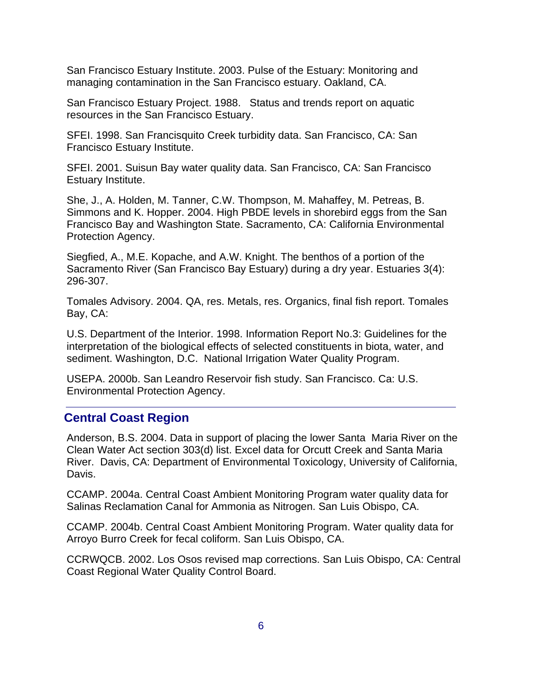San Francisco Estuary Institute. 2003. Pulse of the Estuary: Monitoring and managing contamination in the San Francisco estuary. Oakland, CA.

San Francisco Estuary Project. 1988. Status and trends report on aquatic resources in the San Francisco Estuary.

SFEI. 1998. San Francisquito Creek turbidity data. San Francisco, CA: San Francisco Estuary Institute.

SFEI. 2001. Suisun Bay water quality data. San Francisco, CA: San Francisco Estuary Institute.

She, J., A. Holden, M. Tanner, C.W. Thompson, M. Mahaffey, M. Petreas, B. Simmons and K. Hopper. 2004. High PBDE levels in shorebird eggs from the San Francisco Bay and Washington State. Sacramento, CA: California Environmental Protection Agency.

Siegfied, A., M.E. Kopache, and A.W. Knight. The benthos of a portion of the Sacramento River (San Francisco Bay Estuary) during a dry year. Estuaries 3(4): 296-307.

Tomales Advisory. 2004. QA, res. Metals, res. Organics, final fish report. Tomales Bay, CA:

U.S. Department of the Interior. 1998. Information Report No.3: Guidelines for the interpretation of the biological effects of selected constituents in biota, water, and sediment. Washington, D.C. National Irrigation Water Quality Program.

USEPA. 2000b. San Leandro Reservoir fish study. San Francisco. Ca: U.S. Environmental Protection Agency.

# **Central Coast Region**

Anderson, B.S. 2004. Data in support of placing the lower Santa Maria River on the Clean Water Act section 303(d) list. Excel data for Orcutt Creek and Santa Maria River. Davis, CA: Department of Environmental Toxicology, University of California, Davis.

CCAMP. 2004a. Central Coast Ambient Monitoring Program water quality data for Salinas Reclamation Canal for Ammonia as Nitrogen. San Luis Obispo, CA.

CCAMP. 2004b. Central Coast Ambient Monitoring Program. Water quality data for Arroyo Burro Creek for fecal coliform. San Luis Obispo, CA.

CCRWQCB. 2002. Los Osos revised map corrections. San Luis Obispo, CA: Central Coast Regional Water Quality Control Board.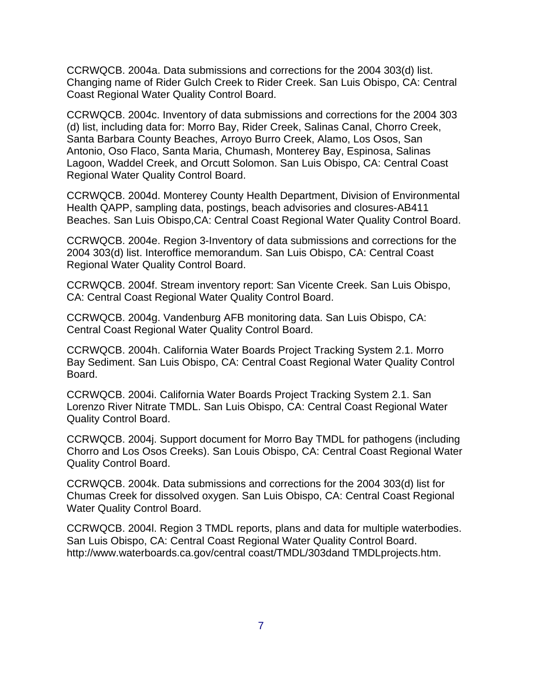CCRWQCB. 2004a. Data submissions and corrections for the 2004 303(d) list. Changing name of Rider Gulch Creek to Rider Creek. San Luis Obispo, CA: Central Coast Regional Water Quality Control Board.

CCRWQCB. 2004c. Inventory of data submissions and corrections for the 2004 303 (d) list, including data for: Morro Bay, Rider Creek, Salinas Canal, Chorro Creek, Santa Barbara County Beaches, Arroyo Burro Creek, Alamo, Los Osos, San Antonio, Oso Flaco, Santa Maria, Chumash, Monterey Bay, Espinosa, Salinas Lagoon, Waddel Creek, and Orcutt Solomon. San Luis Obispo, CA: Central Coast Regional Water Quality Control Board.

CCRWQCB. 2004d. Monterey County Health Department, Division of Environmental Health QAPP, sampling data, postings, beach advisories and closures-AB411 Beaches. San Luis Obispo,CA: Central Coast Regional Water Quality Control Board.

CCRWQCB. 2004e. Region 3-Inventory of data submissions and corrections for the 2004 303(d) list. Interoffice memorandum. San Luis Obispo, CA: Central Coast Regional Water Quality Control Board.

CCRWQCB. 2004f. Stream inventory report: San Vicente Creek. San Luis Obispo, CA: Central Coast Regional Water Quality Control Board.

CCRWQCB. 2004g. Vandenburg AFB monitoring data. San Luis Obispo, CA: Central Coast Regional Water Quality Control Board.

CCRWQCB. 2004h. California Water Boards Project Tracking System 2.1. Morro Bay Sediment. San Luis Obispo, CA: Central Coast Regional Water Quality Control Board.

CCRWQCB. 2004i. California Water Boards Project Tracking System 2.1. San Lorenzo River Nitrate TMDL. San Luis Obispo, CA: Central Coast Regional Water Quality Control Board.

CCRWQCB. 2004j. Support document for Morro Bay TMDL for pathogens (including Chorro and Los Osos Creeks). San Louis Obispo, CA: Central Coast Regional Water Quality Control Board.

CCRWQCB. 2004k. Data submissions and corrections for the 2004 303(d) list for Chumas Creek for dissolved oxygen. San Luis Obispo, CA: Central Coast Regional Water Quality Control Board.

CCRWQCB. 2004l. Region 3 TMDL reports, plans and data for multiple waterbodies. San Luis Obispo, CA: Central Coast Regional Water Quality Control Board. http://www.waterboards.ca.gov/central coast/TMDL/303dand TMDLprojects.htm.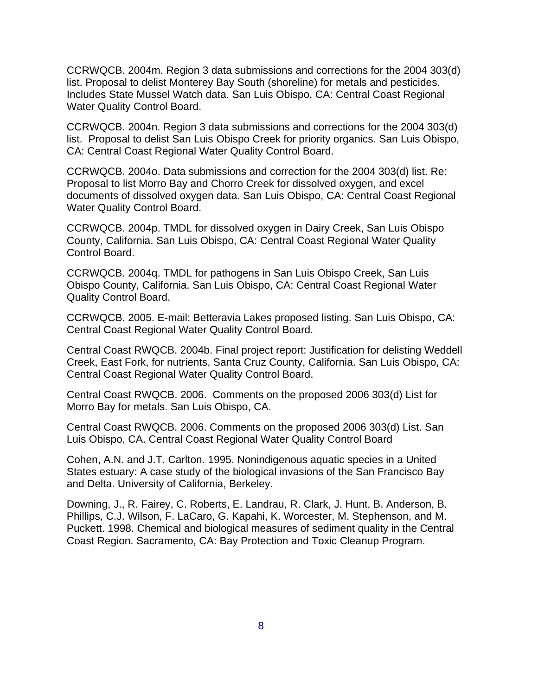CCRWQCB. 2004m. Region 3 data submissions and corrections for the 2004 303(d) list. Proposal to delist Monterey Bay South (shoreline) for metals and pesticides. Includes State Mussel Watch data. San Luis Obispo, CA: Central Coast Regional Water Quality Control Board.

CCRWQCB. 2004n. Region 3 data submissions and corrections for the 2004 303(d) list. Proposal to delist San Luis Obispo Creek for priority organics. San Luis Obispo, CA: Central Coast Regional Water Quality Control Board.

CCRWQCB. 2004o. Data submissions and correction for the 2004 303(d) list. Re: Proposal to list Morro Bay and Chorro Creek for dissolved oxygen, and excel documents of dissolved oxygen data. San Luis Obispo, CA: Central Coast Regional Water Quality Control Board.

CCRWQCB. 2004p. TMDL for dissolved oxygen in Dairy Creek, San Luis Obispo County, California. San Luis Obispo, CA: Central Coast Regional Water Quality Control Board.

CCRWQCB. 2004q. TMDL for pathogens in San Luis Obispo Creek, San Luis Obispo County, California. San Luis Obispo, CA: Central Coast Regional Water Quality Control Board.

CCRWQCB. 2005. E-mail: Betteravia Lakes proposed listing. San Luis Obispo, CA: Central Coast Regional Water Quality Control Board.

Central Coast RWQCB. 2004b. Final project report: Justification for delisting Weddell Creek, East Fork, for nutrients, Santa Cruz County, California. San Luis Obispo, CA: Central Coast Regional Water Quality Control Board.

Central Coast RWQCB. 2006. Comments on the proposed 2006 303(d) List for Morro Bay for metals. San Luis Obispo, CA.

Central Coast RWQCB. 2006. Comments on the proposed 2006 303(d) List. San Luis Obispo, CA. Central Coast Regional Water Quality Control Board

Cohen, A.N. and J.T. Carlton. 1995. Nonindigenous aquatic species in a United States estuary: A case study of the biological invasions of the San Francisco Bay and Delta. University of California, Berkeley.

Downing, J., R. Fairey, C. Roberts, E. Landrau, R. Clark, J. Hunt, B. Anderson, B. Phillips, C.J. Wilson, F. LaCaro, G. Kapahi, K. Worcester, M. Stephenson, and M. Puckett. 1998. Chemical and biological measures of sediment quality in the Central Coast Region. Sacramento, CA: Bay Protection and Toxic Cleanup Program.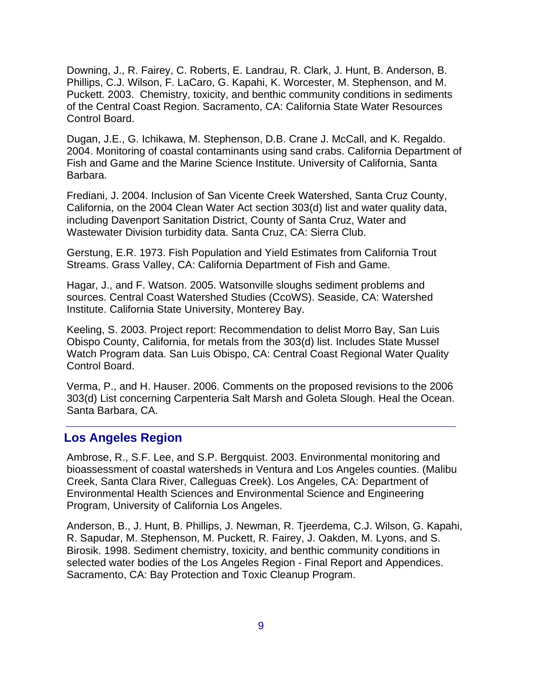Downing, J., R. Fairey, C. Roberts, E. Landrau, R. Clark, J. Hunt, B. Anderson, B. Phillips, C.J. Wilson, F. LaCaro, G. Kapahi, K. Worcester, M. Stephenson, and M. Puckett. 2003. Chemistry, toxicity, and benthic community conditions in sediments of the Central Coast Region. Sacramento, CA: California State Water Resources Control Board.

Dugan, J.E., G. Ichikawa, M. Stephenson, D.B. Crane J. McCall, and K. Regaldo. 2004. Monitoring of coastal contaminants using sand crabs. California Department of Fish and Game and the Marine Science Institute. University of California, Santa Barbara.

Frediani, J. 2004. Inclusion of San Vicente Creek Watershed, Santa Cruz County, California, on the 2004 Clean Water Act section 303(d) list and water quality data, including Davenport Sanitation District, County of Santa Cruz, Water and Wastewater Division turbidity data. Santa Cruz, CA: Sierra Club.

Gerstung, E.R. 1973. Fish Population and Yield Estimates from California Trout Streams. Grass Valley, CA: California Department of Fish and Game.

Hagar, J., and F. Watson. 2005. Watsonville sloughs sediment problems and sources. Central Coast Watershed Studies (CcoWS). Seaside, CA: Watershed Institute. California State University, Monterey Bay.

Keeling, S. 2003. Project report: Recommendation to delist Morro Bay, San Luis Obispo County, California, for metals from the 303(d) list. Includes State Mussel Watch Program data. San Luis Obispo, CA: Central Coast Regional Water Quality Control Board.

Verma, P., and H. Hauser. 2006. Comments on the proposed revisions to the 2006 303(d) List concerning Carpenteria Salt Marsh and Goleta Slough. Heal the Ocean. Santa Barbara, CA.

#### **Los Angeles Region**

Ambrose, R., S.F. Lee, and S.P. Bergquist. 2003. Environmental monitoring and bioassessment of coastal watersheds in Ventura and Los Angeles counties. (Malibu Creek, Santa Clara River, Calleguas Creek). Los Angeles, CA: Department of Environmental Health Sciences and Environmental Science and Engineering Program, University of California Los Angeles.

Anderson, B., J. Hunt, B. Phillips, J. Newman, R. Tjeerdema, C.J. Wilson, G. Kapahi, R. Sapudar, M. Stephenson, M. Puckett, R. Fairey, J. Oakden, M. Lyons, and S. Birosik. 1998. Sediment chemistry, toxicity, and benthic community conditions in selected water bodies of the Los Angeles Region - Final Report and Appendices. Sacramento, CA: Bay Protection and Toxic Cleanup Program.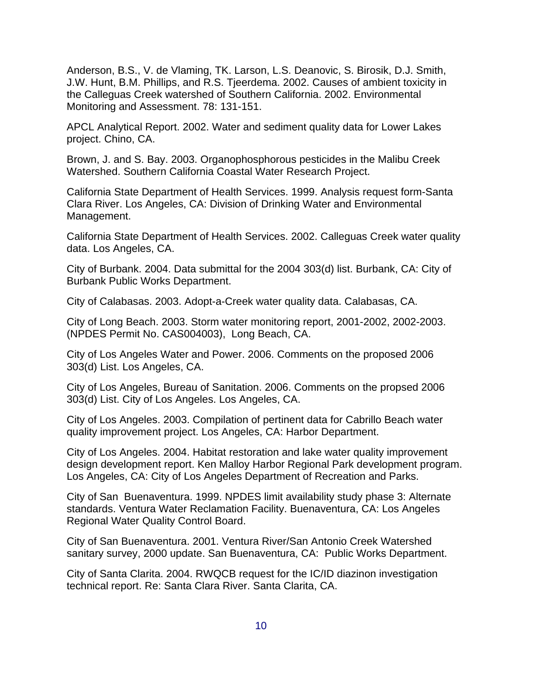Anderson, B.S., V. de Vlaming, TK. Larson, L.S. Deanovic, S. Birosik, D.J. Smith, J.W. Hunt, B.M. Phillips, and R.S. Tjeerdema. 2002. Causes of ambient toxicity in the Calleguas Creek watershed of Southern California. 2002. Environmental Monitoring and Assessment. 78: 131-151.

APCL Analytical Report. 2002. Water and sediment quality data for Lower Lakes project. Chino, CA.

Brown, J. and S. Bay. 2003. Organophosphorous pesticides in the Malibu Creek Watershed. Southern California Coastal Water Research Project.

California State Department of Health Services. 1999. Analysis request form-Santa Clara River. Los Angeles, CA: Division of Drinking Water and Environmental Management.

California State Department of Health Services. 2002. Calleguas Creek water quality data. Los Angeles, CA.

City of Burbank. 2004. Data submittal for the 2004 303(d) list. Burbank, CA: City of Burbank Public Works Department.

City of Calabasas. 2003. Adopt-a-Creek water quality data. Calabasas, CA.

City of Long Beach. 2003. Storm water monitoring report, 2001-2002, 2002-2003. (NPDES Permit No. CAS004003), Long Beach, CA.

City of Los Angeles Water and Power. 2006. Comments on the proposed 2006 303(d) List. Los Angeles, CA.

City of Los Angeles, Bureau of Sanitation. 2006. Comments on the propsed 2006 303(d) List. City of Los Angeles. Los Angeles, CA.

City of Los Angeles. 2003. Compilation of pertinent data for Cabrillo Beach water quality improvement project. Los Angeles, CA: Harbor Department.

City of Los Angeles. 2004. Habitat restoration and lake water quality improvement design development report. Ken Malloy Harbor Regional Park development program. Los Angeles, CA: City of Los Angeles Department of Recreation and Parks.

City of San Buenaventura. 1999. NPDES limit availability study phase 3: Alternate standards. Ventura Water Reclamation Facility. Buenaventura, CA: Los Angeles Regional Water Quality Control Board.

City of San Buenaventura. 2001. Ventura River/San Antonio Creek Watershed sanitary survey, 2000 update. San Buenaventura, CA: Public Works Department.

City of Santa Clarita. 2004. RWQCB request for the IC/ID diazinon investigation technical report. Re: Santa Clara River. Santa Clarita, CA.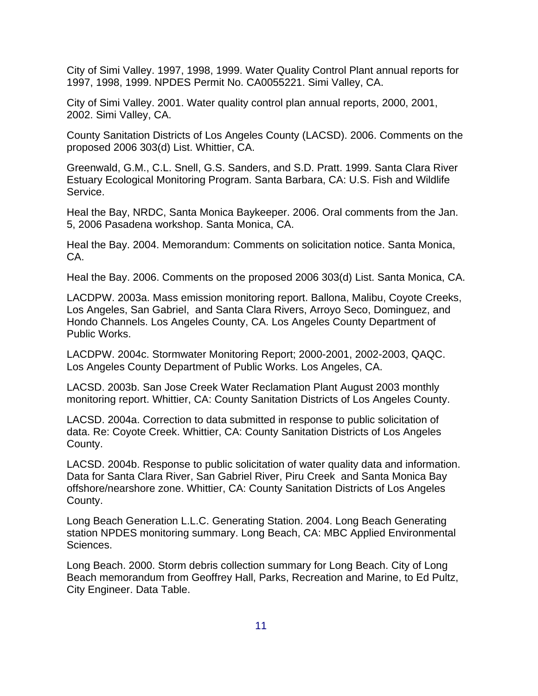City of Simi Valley. 1997, 1998, 1999. Water Quality Control Plant annual reports for 1997, 1998, 1999. NPDES Permit No. CA0055221. Simi Valley, CA.

City of Simi Valley. 2001. Water quality control plan annual reports, 2000, 2001, 2002. Simi Valley, CA.

County Sanitation Districts of Los Angeles County (LACSD). 2006. Comments on the proposed 2006 303(d) List. Whittier, CA.

Greenwald, G.M., C.L. Snell, G.S. Sanders, and S.D. Pratt. 1999. Santa Clara River Estuary Ecological Monitoring Program. Santa Barbara, CA: U.S. Fish and Wildlife Service.

Heal the Bay, NRDC, Santa Monica Baykeeper. 2006. Oral comments from the Jan. 5, 2006 Pasadena workshop. Santa Monica, CA.

Heal the Bay. 2004. Memorandum: Comments on solicitation notice. Santa Monica, CA.

Heal the Bay. 2006. Comments on the proposed 2006 303(d) List. Santa Monica, CA.

LACDPW. 2003a. Mass emission monitoring report. Ballona, Malibu, Coyote Creeks, Los Angeles, San Gabriel, and Santa Clara Rivers, Arroyo Seco, Dominguez, and Hondo Channels. Los Angeles County, CA. Los Angeles County Department of Public Works.

LACDPW. 2004c. Stormwater Monitoring Report; 2000-2001, 2002-2003, QAQC. Los Angeles County Department of Public Works. Los Angeles, CA.

LACSD. 2003b. San Jose Creek Water Reclamation Plant August 2003 monthly monitoring report. Whittier, CA: County Sanitation Districts of Los Angeles County.

LACSD. 2004a. Correction to data submitted in response to public solicitation of data. Re: Coyote Creek. Whittier, CA: County Sanitation Districts of Los Angeles County.

LACSD. 2004b. Response to public solicitation of water quality data and information. Data for Santa Clara River, San Gabriel River, Piru Creek and Santa Monica Bay offshore/nearshore zone. Whittier, CA: County Sanitation Districts of Los Angeles County.

Long Beach Generation L.L.C. Generating Station. 2004. Long Beach Generating station NPDES monitoring summary. Long Beach, CA: MBC Applied Environmental Sciences.

Long Beach. 2000. Storm debris collection summary for Long Beach. City of Long Beach memorandum from Geoffrey Hall, Parks, Recreation and Marine, to Ed Pultz, City Engineer. Data Table.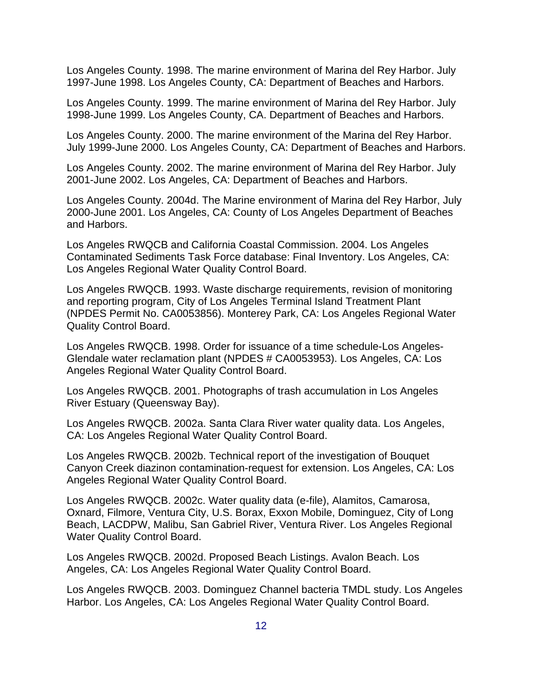Los Angeles County. 1998. The marine environment of Marina del Rey Harbor. July 1997-June 1998. Los Angeles County, CA: Department of Beaches and Harbors.

Los Angeles County. 1999. The marine environment of Marina del Rey Harbor. July 1998-June 1999. Los Angeles County, CA. Department of Beaches and Harbors.

Los Angeles County. 2000. The marine environment of the Marina del Rey Harbor. July 1999-June 2000. Los Angeles County, CA: Department of Beaches and Harbors.

Los Angeles County. 2002. The marine environment of Marina del Rey Harbor. July 2001-June 2002. Los Angeles, CA: Department of Beaches and Harbors.

Los Angeles County. 2004d. The Marine environment of Marina del Rey Harbor, July 2000-June 2001. Los Angeles, CA: County of Los Angeles Department of Beaches and Harbors.

Los Angeles RWQCB and California Coastal Commission. 2004. Los Angeles Contaminated Sediments Task Force database: Final Inventory. Los Angeles, CA: Los Angeles Regional Water Quality Control Board.

Los Angeles RWQCB. 1993. Waste discharge requirements, revision of monitoring and reporting program, City of Los Angeles Terminal Island Treatment Plant (NPDES Permit No. CA0053856). Monterey Park, CA: Los Angeles Regional Water Quality Control Board.

Los Angeles RWQCB. 1998. Order for issuance of a time schedule-Los Angeles-Glendale water reclamation plant (NPDES # CA0053953). Los Angeles, CA: Los Angeles Regional Water Quality Control Board.

Los Angeles RWQCB. 2001. Photographs of trash accumulation in Los Angeles River Estuary (Queensway Bay).

Los Angeles RWQCB. 2002a. Santa Clara River water quality data. Los Angeles, CA: Los Angeles Regional Water Quality Control Board.

Los Angeles RWQCB. 2002b. Technical report of the investigation of Bouquet Canyon Creek diazinon contamination-request for extension. Los Angeles, CA: Los Angeles Regional Water Quality Control Board.

Los Angeles RWQCB. 2002c. Water quality data (e-file), Alamitos, Camarosa, Oxnard, Filmore, Ventura City, U.S. Borax, Exxon Mobile, Dominguez, City of Long Beach, LACDPW, Malibu, San Gabriel River, Ventura River. Los Angeles Regional Water Quality Control Board.

Los Angeles RWQCB. 2002d. Proposed Beach Listings. Avalon Beach. Los Angeles, CA: Los Angeles Regional Water Quality Control Board.

Los Angeles RWQCB. 2003. Dominguez Channel bacteria TMDL study. Los Angeles Harbor. Los Angeles, CA: Los Angeles Regional Water Quality Control Board.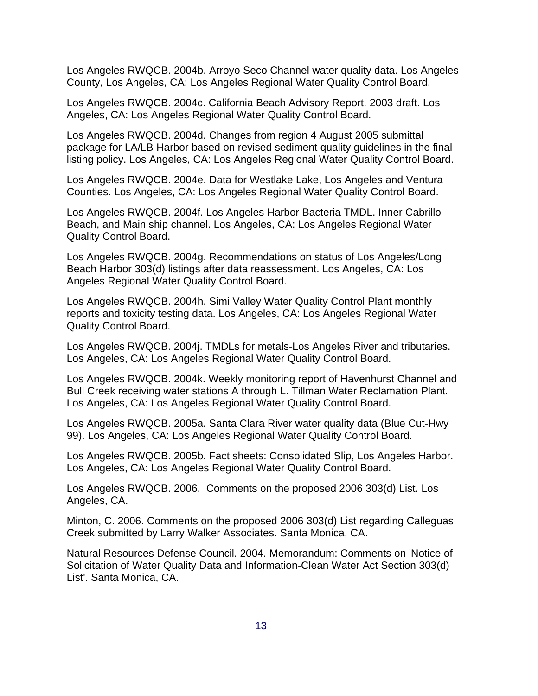Los Angeles RWQCB. 2004b. Arroyo Seco Channel water quality data. Los Angeles County, Los Angeles, CA: Los Angeles Regional Water Quality Control Board.

Los Angeles RWQCB. 2004c. California Beach Advisory Report. 2003 draft. Los Angeles, CA: Los Angeles Regional Water Quality Control Board.

Los Angeles RWQCB. 2004d. Changes from region 4 August 2005 submittal package for LA/LB Harbor based on revised sediment quality guidelines in the final listing policy. Los Angeles, CA: Los Angeles Regional Water Quality Control Board.

Los Angeles RWQCB. 2004e. Data for Westlake Lake, Los Angeles and Ventura Counties. Los Angeles, CA: Los Angeles Regional Water Quality Control Board.

Los Angeles RWQCB. 2004f. Los Angeles Harbor Bacteria TMDL. Inner Cabrillo Beach, and Main ship channel. Los Angeles, CA: Los Angeles Regional Water Quality Control Board.

Los Angeles RWQCB. 2004g. Recommendations on status of Los Angeles/Long Beach Harbor 303(d) listings after data reassessment. Los Angeles, CA: Los Angeles Regional Water Quality Control Board.

Los Angeles RWQCB. 2004h. Simi Valley Water Quality Control Plant monthly reports and toxicity testing data. Los Angeles, CA: Los Angeles Regional Water Quality Control Board.

Los Angeles RWQCB. 2004j. TMDLs for metals-Los Angeles River and tributaries. Los Angeles, CA: Los Angeles Regional Water Quality Control Board.

Los Angeles RWQCB. 2004k. Weekly monitoring report of Havenhurst Channel and Bull Creek receiving water stations A through L. Tillman Water Reclamation Plant. Los Angeles, CA: Los Angeles Regional Water Quality Control Board.

Los Angeles RWQCB. 2005a. Santa Clara River water quality data (Blue Cut-Hwy 99). Los Angeles, CA: Los Angeles Regional Water Quality Control Board.

Los Angeles RWQCB. 2005b. Fact sheets: Consolidated Slip, Los Angeles Harbor. Los Angeles, CA: Los Angeles Regional Water Quality Control Board.

Los Angeles RWQCB. 2006. Comments on the proposed 2006 303(d) List. Los Angeles, CA.

Minton, C. 2006. Comments on the proposed 2006 303(d) List regarding Calleguas Creek submitted by Larry Walker Associates. Santa Monica, CA.

Natural Resources Defense Council. 2004. Memorandum: Comments on 'Notice of Solicitation of Water Quality Data and Information-Clean Water Act Section 303(d) List'. Santa Monica, CA.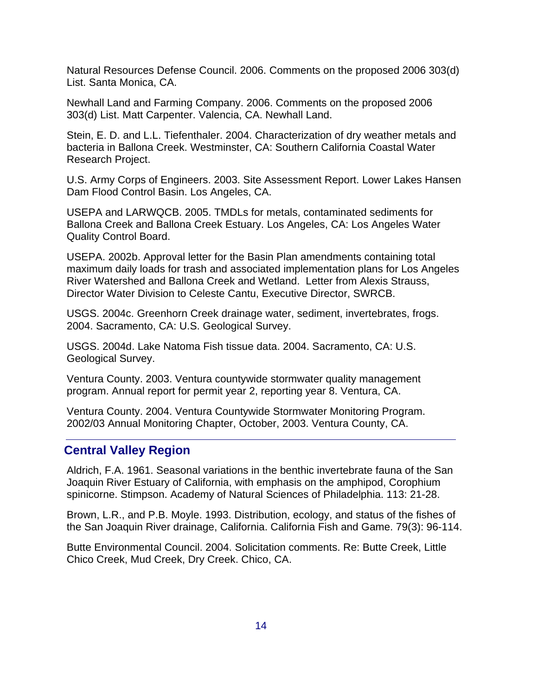Natural Resources Defense Council. 2006. Comments on the proposed 2006 303(d) List. Santa Monica, CA.

Newhall Land and Farming Company. 2006. Comments on the proposed 2006 303(d) List. Matt Carpenter. Valencia, CA. Newhall Land.

Stein, E. D. and L.L. Tiefenthaler. 2004. Characterization of dry weather metals and bacteria in Ballona Creek. Westminster, CA: Southern California Coastal Water Research Project.

U.S. Army Corps of Engineers. 2003. Site Assessment Report. Lower Lakes Hansen Dam Flood Control Basin. Los Angeles, CA.

USEPA and LARWQCB. 2005. TMDLs for metals, contaminated sediments for Ballona Creek and Ballona Creek Estuary. Los Angeles, CA: Los Angeles Water Quality Control Board.

USEPA. 2002b. Approval letter for the Basin Plan amendments containing total maximum daily loads for trash and associated implementation plans for Los Angeles River Watershed and Ballona Creek and Wetland. Letter from Alexis Strauss, Director Water Division to Celeste Cantu, Executive Director, SWRCB.

USGS. 2004c. Greenhorn Creek drainage water, sediment, invertebrates, frogs. 2004. Sacramento, CA: U.S. Geological Survey.

USGS. 2004d. Lake Natoma Fish tissue data. 2004. Sacramento, CA: U.S. Geological Survey.

Ventura County. 2003. Ventura countywide stormwater quality management program. Annual report for permit year 2, reporting year 8. Ventura, CA.

Ventura County. 2004. Ventura Countywide Stormwater Monitoring Program. 2002/03 Annual Monitoring Chapter, October, 2003. Ventura County, CA.

### **Central Valley Region**

Aldrich, F.A. 1961. Seasonal variations in the benthic invertebrate fauna of the San Joaquin River Estuary of California, with emphasis on the amphipod, Corophium spinicorne. Stimpson. Academy of Natural Sciences of Philadelphia. 113: 21-28.

Brown, L.R., and P.B. Moyle. 1993. Distribution, ecology, and status of the fishes of the San Joaquin River drainage, California. California Fish and Game. 79(3): 96-114.

Butte Environmental Council. 2004. Solicitation comments. Re: Butte Creek, Little Chico Creek, Mud Creek, Dry Creek. Chico, CA.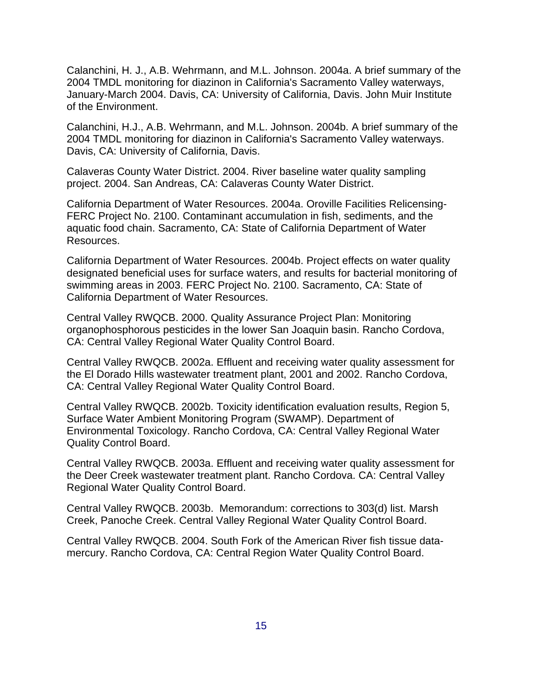Calanchini, H. J., A.B. Wehrmann, and M.L. Johnson. 2004a. A brief summary of the 2004 TMDL monitoring for diazinon in California's Sacramento Valley waterways, January-March 2004. Davis, CA: University of California, Davis. John Muir Institute of the Environment.

Calanchini, H.J., A.B. Wehrmann, and M.L. Johnson. 2004b. A brief summary of the 2004 TMDL monitoring for diazinon in California's Sacramento Valley waterways. Davis, CA: University of California, Davis.

Calaveras County Water District. 2004. River baseline water quality sampling project. 2004. San Andreas, CA: Calaveras County Water District.

California Department of Water Resources. 2004a. Oroville Facilities Relicensing-FERC Project No. 2100. Contaminant accumulation in fish, sediments, and the aquatic food chain. Sacramento, CA: State of California Department of Water Resources.

California Department of Water Resources. 2004b. Project effects on water quality designated beneficial uses for surface waters, and results for bacterial monitoring of swimming areas in 2003. FERC Project No. 2100. Sacramento, CA: State of California Department of Water Resources.

Central Valley RWQCB. 2000. Quality Assurance Project Plan: Monitoring organophosphorous pesticides in the lower San Joaquin basin. Rancho Cordova, CA: Central Valley Regional Water Quality Control Board.

Central Valley RWQCB. 2002a. Effluent and receiving water quality assessment for the El Dorado Hills wastewater treatment plant, 2001 and 2002. Rancho Cordova, CA: Central Valley Regional Water Quality Control Board.

Central Valley RWQCB. 2002b. Toxicity identification evaluation results, Region 5, Surface Water Ambient Monitoring Program (SWAMP). Department of Environmental Toxicology. Rancho Cordova, CA: Central Valley Regional Water Quality Control Board.

Central Valley RWQCB. 2003a. Effluent and receiving water quality assessment for the Deer Creek wastewater treatment plant. Rancho Cordova. CA: Central Valley Regional Water Quality Control Board.

Central Valley RWQCB. 2003b. Memorandum: corrections to 303(d) list. Marsh Creek, Panoche Creek. Central Valley Regional Water Quality Control Board.

Central Valley RWQCB. 2004. South Fork of the American River fish tissue datamercury. Rancho Cordova, CA: Central Region Water Quality Control Board.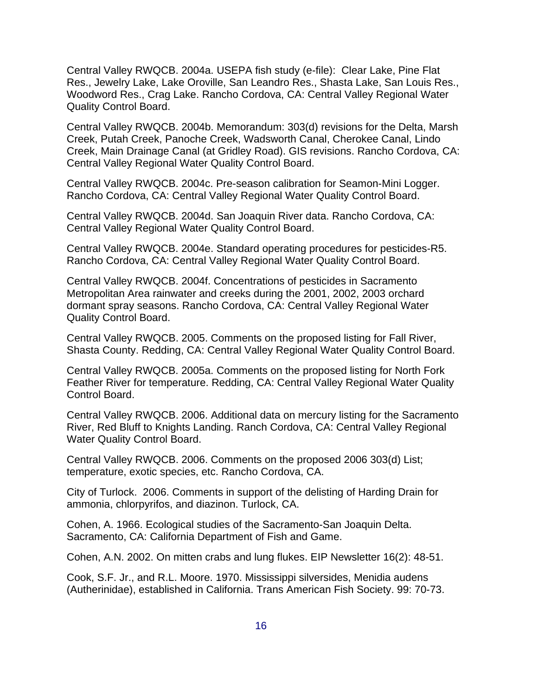Central Valley RWQCB. 2004a. USEPA fish study (e-file): Clear Lake, Pine Flat Res., Jewelry Lake, Lake Oroville, San Leandro Res., Shasta Lake, San Louis Res., Woodword Res., Crag Lake. Rancho Cordova, CA: Central Valley Regional Water Quality Control Board.

Central Valley RWQCB. 2004b. Memorandum: 303(d) revisions for the Delta, Marsh Creek, Putah Creek, Panoche Creek, Wadsworth Canal, Cherokee Canal, Lindo Creek, Main Drainage Canal (at Gridley Road). GIS revisions. Rancho Cordova, CA: Central Valley Regional Water Quality Control Board.

Central Valley RWQCB. 2004c. Pre-season calibration for Seamon-Mini Logger. Rancho Cordova, CA: Central Valley Regional Water Quality Control Board.

Central Valley RWQCB. 2004d. San Joaquin River data. Rancho Cordova, CA: Central Valley Regional Water Quality Control Board.

Central Valley RWQCB. 2004e. Standard operating procedures for pesticides-R5. Rancho Cordova, CA: Central Valley Regional Water Quality Control Board.

Central Valley RWQCB. 2004f. Concentrations of pesticides in Sacramento Metropolitan Area rainwater and creeks during the 2001, 2002, 2003 orchard dormant spray seasons. Rancho Cordova, CA: Central Valley Regional Water Quality Control Board.

Central Valley RWQCB. 2005. Comments on the proposed listing for Fall River, Shasta County. Redding, CA: Central Valley Regional Water Quality Control Board.

Central Valley RWQCB. 2005a. Comments on the proposed listing for North Fork Feather River for temperature. Redding, CA: Central Valley Regional Water Quality Control Board.

Central Valley RWQCB. 2006. Additional data on mercury listing for the Sacramento River, Red Bluff to Knights Landing. Ranch Cordova, CA: Central Valley Regional Water Quality Control Board.

Central Valley RWQCB. 2006. Comments on the proposed 2006 303(d) List; temperature, exotic species, etc. Rancho Cordova, CA.

City of Turlock. 2006. Comments in support of the delisting of Harding Drain for ammonia, chlorpyrifos, and diazinon. Turlock, CA.

Cohen, A. 1966. Ecological studies of the Sacramento-San Joaquin Delta. Sacramento, CA: California Department of Fish and Game.

Cohen, A.N. 2002. On mitten crabs and lung flukes. EIP Newsletter 16(2): 48-51.

Cook, S.F. Jr., and R.L. Moore. 1970. Mississippi silversides, Menidia audens (Autherinidae), established in California. Trans American Fish Society. 99: 70-73.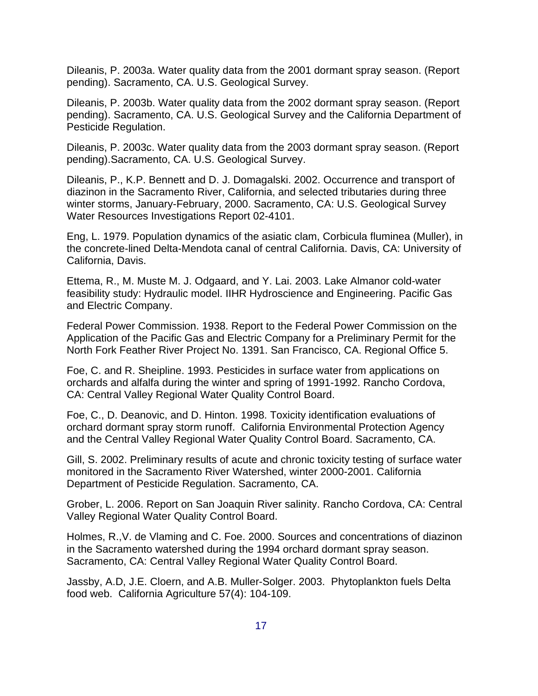Dileanis, P. 2003a. Water quality data from the 2001 dormant spray season. (Report pending). Sacramento, CA. U.S. Geological Survey.

Dileanis, P. 2003b. Water quality data from the 2002 dormant spray season. (Report pending). Sacramento, CA. U.S. Geological Survey and the California Department of Pesticide Regulation.

Dileanis, P. 2003c. Water quality data from the 2003 dormant spray season. (Report pending).Sacramento, CA. U.S. Geological Survey.

Dileanis, P., K.P. Bennett and D. J. Domagalski. 2002. Occurrence and transport of diazinon in the Sacramento River, California, and selected tributaries during three winter storms, January-February, 2000. Sacramento, CA: U.S. Geological Survey Water Resources Investigations Report 02-4101.

Eng, L. 1979. Population dynamics of the asiatic clam, Corbicula fluminea (Muller), in the concrete-lined Delta-Mendota canal of central California. Davis, CA: University of California, Davis.

Ettema, R., M. Muste M. J. Odgaard, and Y. Lai. 2003. Lake Almanor cold-water feasibility study: Hydraulic model. IIHR Hydroscience and Engineering. Pacific Gas and Electric Company.

Federal Power Commission. 1938. Report to the Federal Power Commission on the Application of the Pacific Gas and Electric Company for a Preliminary Permit for the North Fork Feather River Project No. 1391. San Francisco, CA. Regional Office 5.

Foe, C. and R. Sheipline. 1993. Pesticides in surface water from applications on orchards and alfalfa during the winter and spring of 1991-1992. Rancho Cordova, CA: Central Valley Regional Water Quality Control Board.

Foe, C., D. Deanovic, and D. Hinton. 1998. Toxicity identification evaluations of orchard dormant spray storm runoff. California Environmental Protection Agency and the Central Valley Regional Water Quality Control Board. Sacramento, CA.

Gill, S. 2002. Preliminary results of acute and chronic toxicity testing of surface water monitored in the Sacramento River Watershed, winter 2000-2001. California Department of Pesticide Regulation. Sacramento, CA.

Grober, L. 2006. Report on San Joaquin River salinity. Rancho Cordova, CA: Central Valley Regional Water Quality Control Board.

Holmes, R.,V. de Vlaming and C. Foe. 2000. Sources and concentrations of diazinon in the Sacramento watershed during the 1994 orchard dormant spray season. Sacramento, CA: Central Valley Regional Water Quality Control Board.

Jassby, A.D, J.E. Cloern, and A.B. Muller-Solger. 2003. Phytoplankton fuels Delta food web. California Agriculture 57(4): 104-109.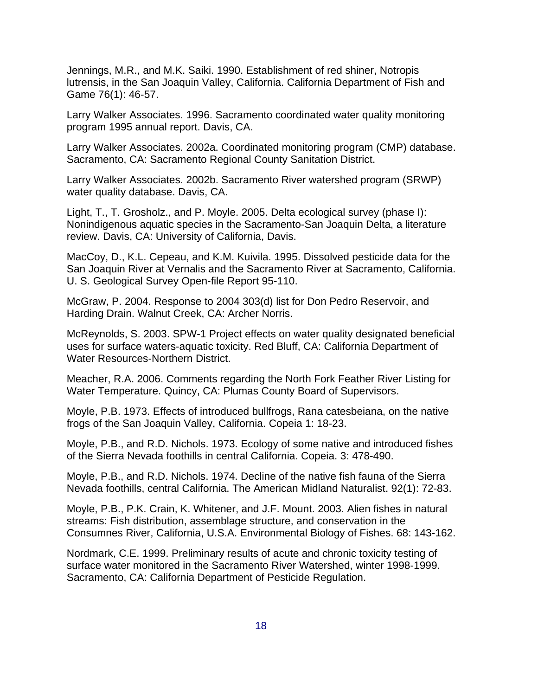Jennings, M.R., and M.K. Saiki. 1990. Establishment of red shiner, Notropis lutrensis, in the San Joaquin Valley, California. California Department of Fish and Game 76(1): 46-57.

Larry Walker Associates. 1996. Sacramento coordinated water quality monitoring program 1995 annual report. Davis, CA.

Larry Walker Associates. 2002a. Coordinated monitoring program (CMP) database. Sacramento, CA: Sacramento Regional County Sanitation District.

Larry Walker Associates. 2002b. Sacramento River watershed program (SRWP) water quality database. Davis, CA.

Light, T., T. Grosholz., and P. Moyle. 2005. Delta ecological survey (phase I): Nonindigenous aquatic species in the Sacramento-San Joaquin Delta, a literature review. Davis, CA: University of California, Davis.

MacCoy, D., K.L. Cepeau, and K.M. Kuivila. 1995. Dissolved pesticide data for the San Joaquin River at Vernalis and the Sacramento River at Sacramento, California. U. S. Geological Survey Open-file Report 95-110.

McGraw, P. 2004. Response to 2004 303(d) list for Don Pedro Reservoir, and Harding Drain. Walnut Creek, CA: Archer Norris.

McReynolds, S. 2003. SPW-1 Project effects on water quality designated beneficial uses for surface waters-aquatic toxicity. Red Bluff, CA: California Department of Water Resources-Northern District.

Meacher, R.A. 2006. Comments regarding the North Fork Feather River Listing for Water Temperature. Quincy, CA: Plumas County Board of Supervisors.

Moyle, P.B. 1973. Effects of introduced bullfrogs, Rana catesbeiana, on the native frogs of the San Joaquin Valley, California. Copeia 1: 18-23.

Moyle, P.B., and R.D. Nichols. 1973. Ecology of some native and introduced fishes of the Sierra Nevada foothills in central California. Copeia. 3: 478-490.

Moyle, P.B., and R.D. Nichols. 1974. Decline of the native fish fauna of the Sierra Nevada foothills, central California. The American Midland Naturalist. 92(1): 72-83.

Moyle, P.B., P.K. Crain, K. Whitener, and J.F. Mount. 2003. Alien fishes in natural streams: Fish distribution, assemblage structure, and conservation in the Consumnes River, California, U.S.A. Environmental Biology of Fishes. 68: 143-162.

Nordmark, C.E. 1999. Preliminary results of acute and chronic toxicity testing of surface water monitored in the Sacramento River Watershed, winter 1998-1999. Sacramento, CA: California Department of Pesticide Regulation.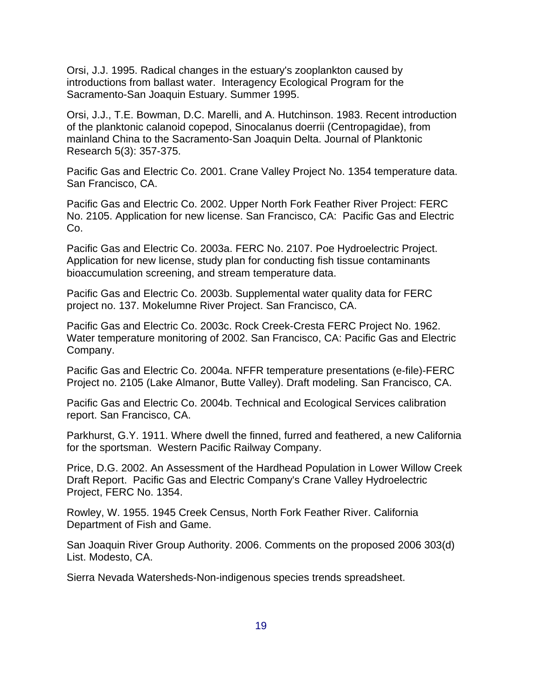Orsi, J.J. 1995. Radical changes in the estuary's zooplankton caused by introductions from ballast water. Interagency Ecological Program for the Sacramento-San Joaquin Estuary. Summer 1995.

Orsi, J.J., T.E. Bowman, D.C. Marelli, and A. Hutchinson. 1983. Recent introduction of the planktonic calanoid copepod, Sinocalanus doerrii (Centropagidae), from mainland China to the Sacramento-San Joaquin Delta. Journal of Planktonic Research 5(3): 357-375.

Pacific Gas and Electric Co. 2001. Crane Valley Project No. 1354 temperature data. San Francisco, CA.

Pacific Gas and Electric Co. 2002. Upper North Fork Feather River Project: FERC No. 2105. Application for new license. San Francisco, CA: Pacific Gas and Electric Co.

Pacific Gas and Electric Co. 2003a. FERC No. 2107. Poe Hydroelectric Project. Application for new license, study plan for conducting fish tissue contaminants bioaccumulation screening, and stream temperature data.

Pacific Gas and Electric Co. 2003b. Supplemental water quality data for FERC project no. 137. Mokelumne River Project. San Francisco, CA.

Pacific Gas and Electric Co. 2003c. Rock Creek-Cresta FERC Project No. 1962. Water temperature monitoring of 2002. San Francisco, CA: Pacific Gas and Electric Company.

Pacific Gas and Electric Co. 2004a. NFFR temperature presentations (e-file)-FERC Project no. 2105 (Lake Almanor, Butte Valley). Draft modeling. San Francisco, CA.

Pacific Gas and Electric Co. 2004b. Technical and Ecological Services calibration report. San Francisco, CA.

Parkhurst, G.Y. 1911. Where dwell the finned, furred and feathered, a new California for the sportsman. Western Pacific Railway Company.

Price, D.G. 2002. An Assessment of the Hardhead Population in Lower Willow Creek Draft Report. Pacific Gas and Electric Company's Crane Valley Hydroelectric Project, FERC No. 1354.

Rowley, W. 1955. 1945 Creek Census, North Fork Feather River. California Department of Fish and Game.

San Joaquin River Group Authority. 2006. Comments on the proposed 2006 303(d) List. Modesto, CA.

Sierra Nevada Watersheds-Non-indigenous species trends spreadsheet.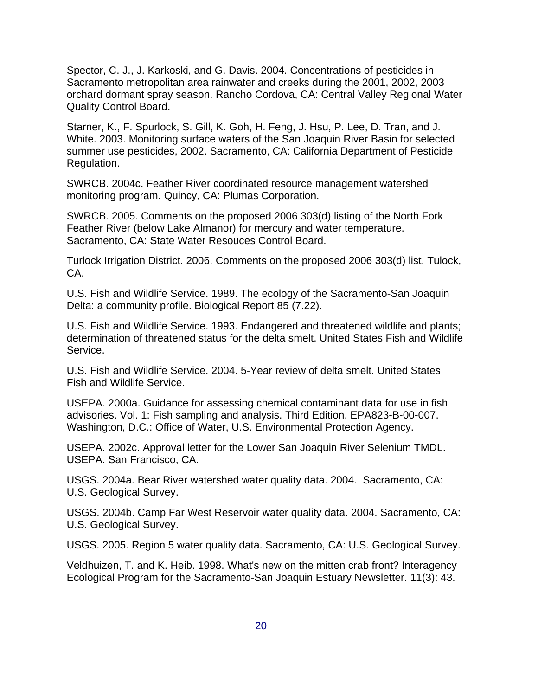Spector, C. J., J. Karkoski, and G. Davis. 2004. Concentrations of pesticides in Sacramento metropolitan area rainwater and creeks during the 2001, 2002, 2003 orchard dormant spray season. Rancho Cordova, CA: Central Valley Regional Water Quality Control Board.

Starner, K., F. Spurlock, S. Gill, K. Goh, H. Feng, J. Hsu, P. Lee, D. Tran, and J. White. 2003. Monitoring surface waters of the San Joaquin River Basin for selected summer use pesticides, 2002. Sacramento, CA: California Department of Pesticide Regulation.

SWRCB. 2004c. Feather River coordinated resource management watershed monitoring program. Quincy, CA: Plumas Corporation.

SWRCB. 2005. Comments on the proposed 2006 303(d) listing of the North Fork Feather River (below Lake Almanor) for mercury and water temperature. Sacramento, CA: State Water Resouces Control Board.

Turlock Irrigation District. 2006. Comments on the proposed 2006 303(d) list. Tulock, CA.

U.S. Fish and Wildlife Service. 1989. The ecology of the Sacramento-San Joaquin Delta: a community profile. Biological Report 85 (7.22).

U.S. Fish and Wildlife Service. 1993. Endangered and threatened wildlife and plants; determination of threatened status for the delta smelt. United States Fish and Wildlife Service.

U.S. Fish and Wildlife Service. 2004. 5-Year review of delta smelt. United States Fish and Wildlife Service.

USEPA. 2000a. Guidance for assessing chemical contaminant data for use in fish advisories. Vol. 1: Fish sampling and analysis. Third Edition. EPA823-B-00-007. Washington, D.C.: Office of Water, U.S. Environmental Protection Agency.

USEPA. 2002c. Approval letter for the Lower San Joaquin River Selenium TMDL. USEPA. San Francisco, CA.

USGS. 2004a. Bear River watershed water quality data. 2004. Sacramento, CA: U.S. Geological Survey.

USGS. 2004b. Camp Far West Reservoir water quality data. 2004. Sacramento, CA: U.S. Geological Survey.

USGS. 2005. Region 5 water quality data. Sacramento, CA: U.S. Geological Survey.

Veldhuizen, T. and K. Heib. 1998. What's new on the mitten crab front? Interagency Ecological Program for the Sacramento-San Joaquin Estuary Newsletter. 11(3): 43.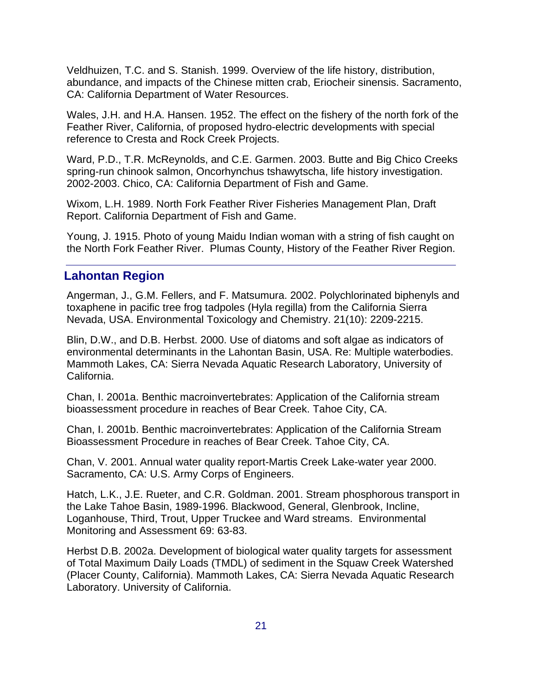Veldhuizen, T.C. and S. Stanish. 1999. Overview of the life history, distribution, abundance, and impacts of the Chinese mitten crab, Eriocheir sinensis. Sacramento, CA: California Department of Water Resources.

Wales, J.H. and H.A. Hansen. 1952. The effect on the fishery of the north fork of the Feather River, California, of proposed hydro-electric developments with special reference to Cresta and Rock Creek Projects.

Ward, P.D., T.R. McReynolds, and C.E. Garmen. 2003. Butte and Big Chico Creeks spring-run chinook salmon, Oncorhynchus tshawytscha, life history investigation. 2002-2003. Chico, CA: California Department of Fish and Game.

Wixom, L.H. 1989. North Fork Feather River Fisheries Management Plan, Draft Report. California Department of Fish and Game.

Young, J. 1915. Photo of young Maidu Indian woman with a string of fish caught on the North Fork Feather River. Plumas County, History of the Feather River Region.

# **Lahontan Region**

Angerman, J., G.M. Fellers, and F. Matsumura. 2002. Polychlorinated biphenyls and toxaphene in pacific tree frog tadpoles (Hyla regilla) from the California Sierra Nevada, USA. Environmental Toxicology and Chemistry. 21(10): 2209-2215.

Blin, D.W., and D.B. Herbst. 2000. Use of diatoms and soft algae as indicators of environmental determinants in the Lahontan Basin, USA. Re: Multiple waterbodies. Mammoth Lakes, CA: Sierra Nevada Aquatic Research Laboratory, University of California.

Chan, I. 2001a. Benthic macroinvertebrates: Application of the California stream bioassessment procedure in reaches of Bear Creek. Tahoe City, CA.

Chan, I. 2001b. Benthic macroinvertebrates: Application of the California Stream Bioassessment Procedure in reaches of Bear Creek. Tahoe City, CA.

Chan, V. 2001. Annual water quality report-Martis Creek Lake-water year 2000. Sacramento, CA: U.S. Army Corps of Engineers.

Hatch, L.K., J.E. Rueter, and C.R. Goldman. 2001. Stream phosphorous transport in the Lake Tahoe Basin, 1989-1996. Blackwood, General, Glenbrook, Incline, Loganhouse, Third, Trout, Upper Truckee and Ward streams. Environmental Monitoring and Assessment 69: 63-83.

Herbst D.B. 2002a. Development of biological water quality targets for assessment of Total Maximum Daily Loads (TMDL) of sediment in the Squaw Creek Watershed (Placer County, California). Mammoth Lakes, CA: Sierra Nevada Aquatic Research Laboratory. University of California.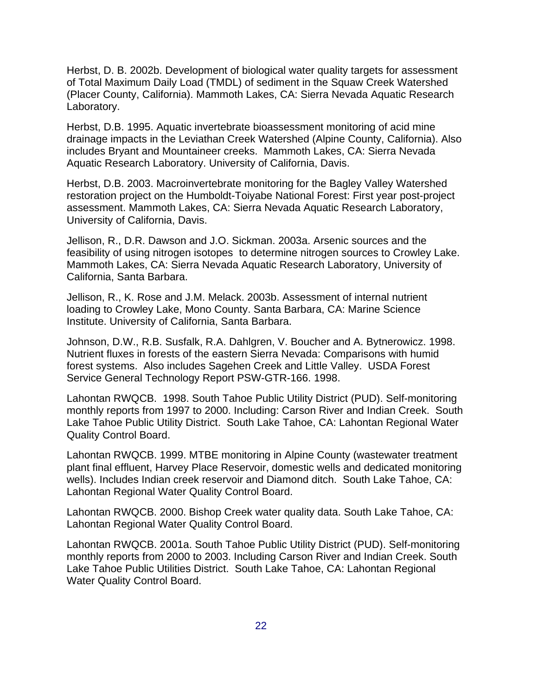Herbst, D. B. 2002b. Development of biological water quality targets for assessment of Total Maximum Daily Load (TMDL) of sediment in the Squaw Creek Watershed (Placer County, California). Mammoth Lakes, CA: Sierra Nevada Aquatic Research Laboratory.

Herbst, D.B. 1995. Aquatic invertebrate bioassessment monitoring of acid mine drainage impacts in the Leviathan Creek Watershed (Alpine County, California). Also includes Bryant and Mountaineer creeks. Mammoth Lakes, CA: Sierra Nevada Aquatic Research Laboratory. University of California, Davis.

Herbst, D.B. 2003. Macroinvertebrate monitoring for the Bagley Valley Watershed restoration project on the Humboldt-Toiyabe National Forest: First year post-project assessment. Mammoth Lakes, CA: Sierra Nevada Aquatic Research Laboratory, University of California, Davis.

Jellison, R., D.R. Dawson and J.O. Sickman. 2003a. Arsenic sources and the feasibility of using nitrogen isotopes to determine nitrogen sources to Crowley Lake. Mammoth Lakes, CA: Sierra Nevada Aquatic Research Laboratory, University of California, Santa Barbara.

Jellison, R., K. Rose and J.M. Melack. 2003b. Assessment of internal nutrient loading to Crowley Lake, Mono County. Santa Barbara, CA: Marine Science Institute. University of California, Santa Barbara.

Johnson, D.W., R.B. Susfalk, R.A. Dahlgren, V. Boucher and A. Bytnerowicz. 1998. Nutrient fluxes in forests of the eastern Sierra Nevada: Comparisons with humid forest systems. Also includes Sagehen Creek and Little Valley. USDA Forest Service General Technology Report PSW-GTR-166. 1998.

Lahontan RWQCB. 1998. South Tahoe Public Utility District (PUD). Self-monitoring monthly reports from 1997 to 2000. Including: Carson River and Indian Creek. South Lake Tahoe Public Utility District. South Lake Tahoe, CA: Lahontan Regional Water Quality Control Board.

Lahontan RWQCB. 1999. MTBE monitoring in Alpine County (wastewater treatment plant final effluent, Harvey Place Reservoir, domestic wells and dedicated monitoring wells). Includes Indian creek reservoir and Diamond ditch. South Lake Tahoe, CA: Lahontan Regional Water Quality Control Board.

Lahontan RWQCB. 2000. Bishop Creek water quality data. South Lake Tahoe, CA: Lahontan Regional Water Quality Control Board.

Lahontan RWQCB. 2001a. South Tahoe Public Utility District (PUD). Self-monitoring monthly reports from 2000 to 2003. Including Carson River and Indian Creek. South Lake Tahoe Public Utilities District. South Lake Tahoe, CA: Lahontan Regional Water Quality Control Board.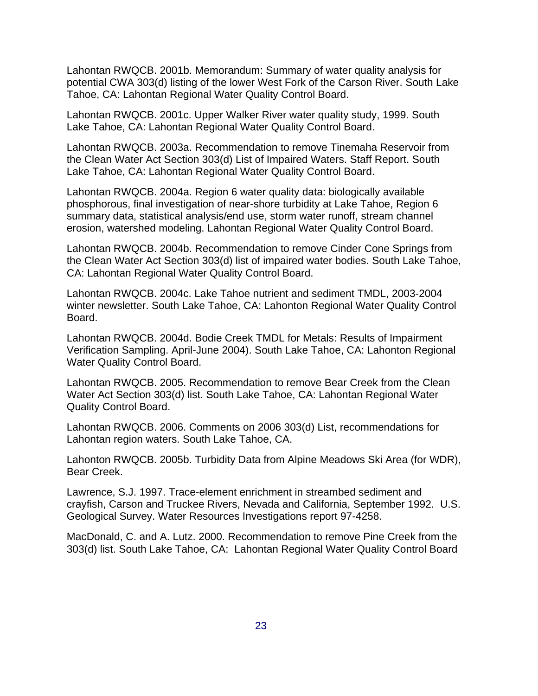Lahontan RWQCB. 2001b. Memorandum: Summary of water quality analysis for potential CWA 303(d) listing of the lower West Fork of the Carson River. South Lake Tahoe, CA: Lahontan Regional Water Quality Control Board.

Lahontan RWQCB. 2001c. Upper Walker River water quality study, 1999. South Lake Tahoe, CA: Lahontan Regional Water Quality Control Board.

Lahontan RWQCB. 2003a. Recommendation to remove Tinemaha Reservoir from the Clean Water Act Section 303(d) List of Impaired Waters. Staff Report. South Lake Tahoe, CA: Lahontan Regional Water Quality Control Board.

Lahontan RWQCB. 2004a. Region 6 water quality data: biologically available phosphorous, final investigation of near-shore turbidity at Lake Tahoe, Region 6 summary data, statistical analysis/end use, storm water runoff, stream channel erosion, watershed modeling. Lahontan Regional Water Quality Control Board.

Lahontan RWQCB. 2004b. Recommendation to remove Cinder Cone Springs from the Clean Water Act Section 303(d) list of impaired water bodies. South Lake Tahoe, CA: Lahontan Regional Water Quality Control Board.

Lahontan RWQCB. 2004c. Lake Tahoe nutrient and sediment TMDL, 2003-2004 winter newsletter. South Lake Tahoe, CA: Lahonton Regional Water Quality Control Board.

Lahontan RWQCB. 2004d. Bodie Creek TMDL for Metals: Results of Impairment Verification Sampling. April-June 2004). South Lake Tahoe, CA: Lahonton Regional Water Quality Control Board.

Lahontan RWQCB. 2005. Recommendation to remove Bear Creek from the Clean Water Act Section 303(d) list. South Lake Tahoe, CA: Lahontan Regional Water Quality Control Board.

Lahontan RWQCB. 2006. Comments on 2006 303(d) List, recommendations for Lahontan region waters. South Lake Tahoe, CA.

Lahonton RWQCB. 2005b. Turbidity Data from Alpine Meadows Ski Area (for WDR), Bear Creek.

Lawrence, S.J. 1997. Trace-element enrichment in streambed sediment and crayfish, Carson and Truckee Rivers, Nevada and California, September 1992. U.S. Geological Survey. Water Resources Investigations report 97-4258.

MacDonald, C. and A. Lutz. 2000. Recommendation to remove Pine Creek from the 303(d) list. South Lake Tahoe, CA: Lahontan Regional Water Quality Control Board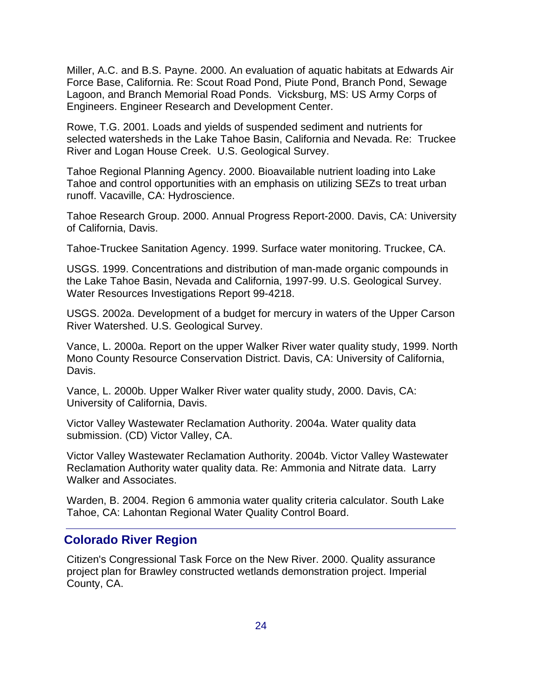Miller, A.C. and B.S. Payne. 2000. An evaluation of aquatic habitats at Edwards Air Force Base, California. Re: Scout Road Pond, Piute Pond, Branch Pond, Sewage Lagoon, and Branch Memorial Road Ponds. Vicksburg, MS: US Army Corps of Engineers. Engineer Research and Development Center.

Rowe, T.G. 2001. Loads and yields of suspended sediment and nutrients for selected watersheds in the Lake Tahoe Basin, California and Nevada. Re: Truckee River and Logan House Creek. U.S. Geological Survey.

Tahoe Regional Planning Agency. 2000. Bioavailable nutrient loading into Lake Tahoe and control opportunities with an emphasis on utilizing SEZs to treat urban runoff. Vacaville, CA: Hydroscience.

Tahoe Research Group. 2000. Annual Progress Report-2000. Davis, CA: University of California, Davis.

Tahoe-Truckee Sanitation Agency. 1999. Surface water monitoring. Truckee, CA.

USGS. 1999. Concentrations and distribution of man-made organic compounds in the Lake Tahoe Basin, Nevada and California, 1997-99. U.S. Geological Survey. Water Resources Investigations Report 99-4218.

USGS. 2002a. Development of a budget for mercury in waters of the Upper Carson River Watershed. U.S. Geological Survey.

Vance, L. 2000a. Report on the upper Walker River water quality study, 1999. North Mono County Resource Conservation District. Davis, CA: University of California, Davis.

Vance, L. 2000b. Upper Walker River water quality study, 2000. Davis, CA: University of California, Davis.

Victor Valley Wastewater Reclamation Authority. 2004a. Water quality data submission. (CD) Victor Valley, CA.

Victor Valley Wastewater Reclamation Authority. 2004b. Victor Valley Wastewater Reclamation Authority water quality data. Re: Ammonia and Nitrate data. Larry Walker and Associates.

Warden, B. 2004. Region 6 ammonia water quality criteria calculator. South Lake Tahoe, CA: Lahontan Regional Water Quality Control Board.

#### **Colorado River Region**

Citizen's Congressional Task Force on the New River. 2000. Quality assurance project plan for Brawley constructed wetlands demonstration project. Imperial County, CA.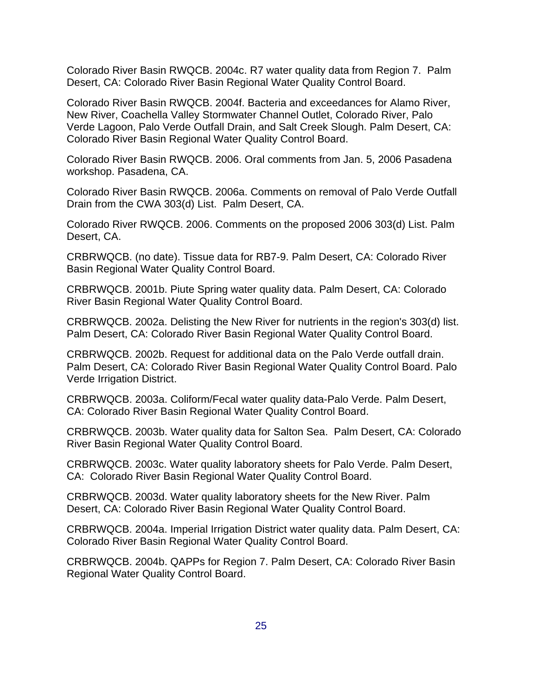Colorado River Basin RWQCB. 2004c. R7 water quality data from Region 7. Palm Desert, CA: Colorado River Basin Regional Water Quality Control Board.

Colorado River Basin RWQCB. 2004f. Bacteria and exceedances for Alamo River, New River, Coachella Valley Stormwater Channel Outlet, Colorado River, Palo Verde Lagoon, Palo Verde Outfall Drain, and Salt Creek Slough. Palm Desert, CA: Colorado River Basin Regional Water Quality Control Board.

Colorado River Basin RWQCB. 2006. Oral comments from Jan. 5, 2006 Pasadena workshop. Pasadena, CA.

Colorado River Basin RWQCB. 2006a. Comments on removal of Palo Verde Outfall Drain from the CWA 303(d) List. Palm Desert, CA.

Colorado River RWQCB. 2006. Comments on the proposed 2006 303(d) List. Palm Desert, CA.

CRBRWQCB. (no date). Tissue data for RB7-9. Palm Desert, CA: Colorado River Basin Regional Water Quality Control Board.

CRBRWQCB. 2001b. Piute Spring water quality data. Palm Desert, CA: Colorado River Basin Regional Water Quality Control Board.

CRBRWQCB. 2002a. Delisting the New River for nutrients in the region's 303(d) list. Palm Desert, CA: Colorado River Basin Regional Water Quality Control Board.

CRBRWQCB. 2002b. Request for additional data on the Palo Verde outfall drain. Palm Desert, CA: Colorado River Basin Regional Water Quality Control Board. Palo Verde Irrigation District.

CRBRWQCB. 2003a. Coliform/Fecal water quality data-Palo Verde. Palm Desert, CA: Colorado River Basin Regional Water Quality Control Board.

CRBRWQCB. 2003b. Water quality data for Salton Sea. Palm Desert, CA: Colorado River Basin Regional Water Quality Control Board.

CRBRWQCB. 2003c. Water quality laboratory sheets for Palo Verde. Palm Desert, CA: Colorado River Basin Regional Water Quality Control Board.

CRBRWQCB. 2003d. Water quality laboratory sheets for the New River. Palm Desert, CA: Colorado River Basin Regional Water Quality Control Board.

CRBRWQCB. 2004a. Imperial Irrigation District water quality data. Palm Desert, CA: Colorado River Basin Regional Water Quality Control Board.

CRBRWQCB. 2004b. QAPPs for Region 7. Palm Desert, CA: Colorado River Basin Regional Water Quality Control Board.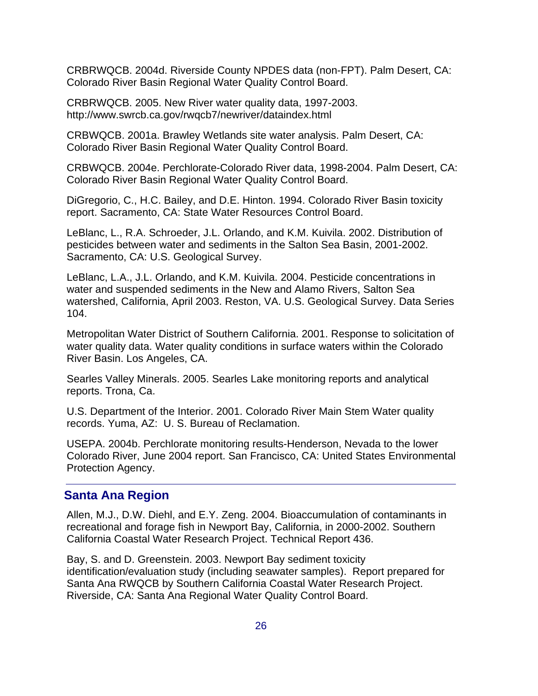CRBRWQCB. 2004d. Riverside County NPDES data (non-FPT). Palm Desert, CA: Colorado River Basin Regional Water Quality Control Board.

CRBRWQCB. 2005. New River water quality data, 1997-2003. http://www.swrcb.ca.gov/rwqcb7/newriver/dataindex.html

CRBWQCB. 2001a. Brawley Wetlands site water analysis. Palm Desert, CA: Colorado River Basin Regional Water Quality Control Board.

CRBWQCB. 2004e. Perchlorate-Colorado River data, 1998-2004. Palm Desert, CA: Colorado River Basin Regional Water Quality Control Board.

DiGregorio, C., H.C. Bailey, and D.E. Hinton. 1994. Colorado River Basin toxicity report. Sacramento, CA: State Water Resources Control Board.

LeBlanc, L., R.A. Schroeder, J.L. Orlando, and K.M. Kuivila. 2002. Distribution of pesticides between water and sediments in the Salton Sea Basin, 2001-2002. Sacramento, CA: U.S. Geological Survey.

LeBlanc, L.A., J.L. Orlando, and K.M. Kuivila. 2004. Pesticide concentrations in water and suspended sediments in the New and Alamo Rivers, Salton Sea watershed, California, April 2003. Reston, VA. U.S. Geological Survey. Data Series 104.

Metropolitan Water District of Southern California. 2001. Response to solicitation of water quality data. Water quality conditions in surface waters within the Colorado River Basin. Los Angeles, CA.

Searles Valley Minerals. 2005. Searles Lake monitoring reports and analytical reports. Trona, Ca.

U.S. Department of the Interior. 2001. Colorado River Main Stem Water quality records. Yuma, AZ: U. S. Bureau of Reclamation.

USEPA. 2004b. Perchlorate monitoring results-Henderson, Nevada to the lower Colorado River, June 2004 report. San Francisco, CA: United States Environmental Protection Agency.

#### **Santa Ana Region**

Allen, M.J., D.W. Diehl, and E.Y. Zeng. 2004. Bioaccumulation of contaminants in recreational and forage fish in Newport Bay, California, in 2000-2002. Southern California Coastal Water Research Project. Technical Report 436.

Bay, S. and D. Greenstein. 2003. Newport Bay sediment toxicity identification/evaluation study (including seawater samples). Report prepared for Santa Ana RWQCB by Southern California Coastal Water Research Project. Riverside, CA: Santa Ana Regional Water Quality Control Board.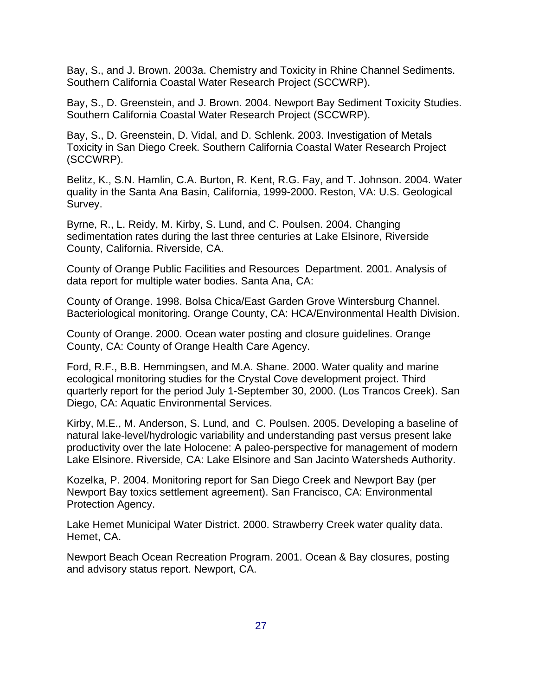Bay, S., and J. Brown. 2003a. Chemistry and Toxicity in Rhine Channel Sediments. Southern California Coastal Water Research Project (SCCWRP).

Bay, S., D. Greenstein, and J. Brown. 2004. Newport Bay Sediment Toxicity Studies. Southern California Coastal Water Research Project (SCCWRP).

Bay, S., D. Greenstein, D. Vidal, and D. Schlenk. 2003. Investigation of Metals Toxicity in San Diego Creek. Southern California Coastal Water Research Project (SCCWRP).

Belitz, K., S.N. Hamlin, C.A. Burton, R. Kent, R.G. Fay, and T. Johnson. 2004. Water quality in the Santa Ana Basin, California, 1999-2000. Reston, VA: U.S. Geological Survey.

Byrne, R., L. Reidy, M. Kirby, S. Lund, and C. Poulsen. 2004. Changing sedimentation rates during the last three centuries at Lake Elsinore, Riverside County, California. Riverside, CA.

County of Orange Public Facilities and Resources Department. 2001. Analysis of data report for multiple water bodies. Santa Ana, CA:

County of Orange. 1998. Bolsa Chica/East Garden Grove Wintersburg Channel. Bacteriological monitoring. Orange County, CA: HCA/Environmental Health Division.

County of Orange. 2000. Ocean water posting and closure guidelines. Orange County, CA: County of Orange Health Care Agency.

Ford, R.F., B.B. Hemmingsen, and M.A. Shane. 2000. Water quality and marine ecological monitoring studies for the Crystal Cove development project. Third quarterly report for the period July 1-September 30, 2000. (Los Trancos Creek). San Diego, CA: Aquatic Environmental Services.

Kirby, M.E., M. Anderson, S. Lund, and C. Poulsen. 2005. Developing a baseline of natural lake-level/hydrologic variability and understanding past versus present lake productivity over the late Holocene: A paleo-perspective for management of modern Lake Elsinore. Riverside, CA: Lake Elsinore and San Jacinto Watersheds Authority.

Kozelka, P. 2004. Monitoring report for San Diego Creek and Newport Bay (per Newport Bay toxics settlement agreement). San Francisco, CA: Environmental Protection Agency.

Lake Hemet Municipal Water District. 2000. Strawberry Creek water quality data. Hemet, CA.

Newport Beach Ocean Recreation Program. 2001. Ocean & Bay closures, posting and advisory status report. Newport, CA.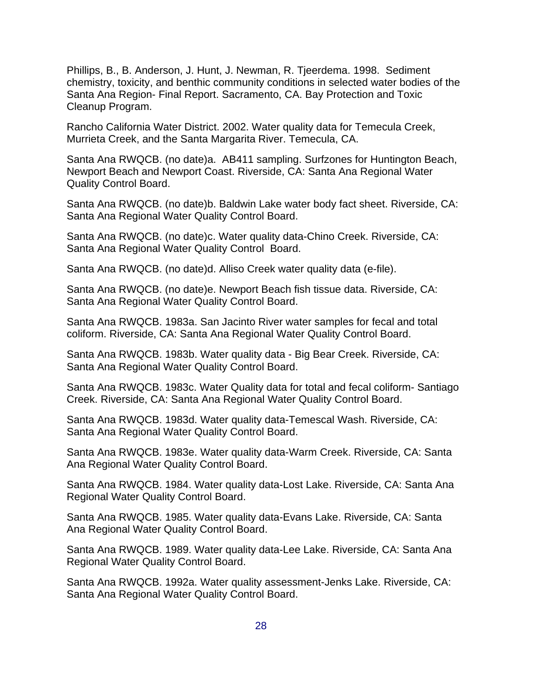Phillips, B., B. Anderson, J. Hunt, J. Newman, R. Tjeerdema. 1998. Sediment chemistry, toxicity, and benthic community conditions in selected water bodies of the Santa Ana Region- Final Report. Sacramento, CA. Bay Protection and Toxic Cleanup Program.

Rancho California Water District. 2002. Water quality data for Temecula Creek, Murrieta Creek, and the Santa Margarita River. Temecula, CA.

Santa Ana RWQCB. (no date)a. AB411 sampling. Surfzones for Huntington Beach, Newport Beach and Newport Coast. Riverside, CA: Santa Ana Regional Water Quality Control Board.

Santa Ana RWQCB. (no date)b. Baldwin Lake water body fact sheet. Riverside, CA: Santa Ana Regional Water Quality Control Board.

Santa Ana RWQCB. (no date)c. Water quality data-Chino Creek. Riverside, CA: Santa Ana Regional Water Quality Control Board.

Santa Ana RWQCB. (no date)d. Alliso Creek water quality data (e-file).

Santa Ana RWQCB. (no date)e. Newport Beach fish tissue data. Riverside, CA: Santa Ana Regional Water Quality Control Board.

Santa Ana RWQCB. 1983a. San Jacinto River water samples for fecal and total coliform. Riverside, CA: Santa Ana Regional Water Quality Control Board.

Santa Ana RWQCB. 1983b. Water quality data - Big Bear Creek. Riverside, CA: Santa Ana Regional Water Quality Control Board.

Santa Ana RWQCB. 1983c. Water Quality data for total and fecal coliform- Santiago Creek. Riverside, CA: Santa Ana Regional Water Quality Control Board.

Santa Ana RWQCB. 1983d. Water quality data-Temescal Wash. Riverside, CA: Santa Ana Regional Water Quality Control Board.

Santa Ana RWQCB. 1983e. Water quality data-Warm Creek. Riverside, CA: Santa Ana Regional Water Quality Control Board.

Santa Ana RWQCB. 1984. Water quality data-Lost Lake. Riverside, CA: Santa Ana Regional Water Quality Control Board.

Santa Ana RWQCB. 1985. Water quality data-Evans Lake. Riverside, CA: Santa Ana Regional Water Quality Control Board.

Santa Ana RWQCB. 1989. Water quality data-Lee Lake. Riverside, CA: Santa Ana Regional Water Quality Control Board.

Santa Ana RWQCB. 1992a. Water quality assessment-Jenks Lake. Riverside, CA: Santa Ana Regional Water Quality Control Board.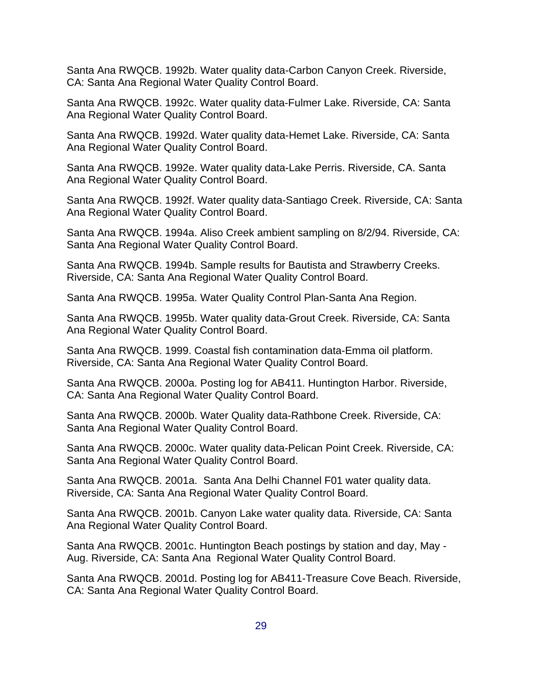Santa Ana RWQCB. 1992b. Water quality data-Carbon Canyon Creek. Riverside, CA: Santa Ana Regional Water Quality Control Board.

Santa Ana RWQCB. 1992c. Water quality data-Fulmer Lake. Riverside, CA: Santa Ana Regional Water Quality Control Board.

Santa Ana RWQCB. 1992d. Water quality data-Hemet Lake. Riverside, CA: Santa Ana Regional Water Quality Control Board.

Santa Ana RWQCB. 1992e. Water quality data-Lake Perris. Riverside, CA. Santa Ana Regional Water Quality Control Board.

Santa Ana RWQCB. 1992f. Water quality data-Santiago Creek. Riverside, CA: Santa Ana Regional Water Quality Control Board.

Santa Ana RWQCB. 1994a. Aliso Creek ambient sampling on 8/2/94. Riverside, CA: Santa Ana Regional Water Quality Control Board.

Santa Ana RWQCB. 1994b. Sample results for Bautista and Strawberry Creeks. Riverside, CA: Santa Ana Regional Water Quality Control Board.

Santa Ana RWQCB. 1995a. Water Quality Control Plan-Santa Ana Region.

Santa Ana RWQCB. 1995b. Water quality data-Grout Creek. Riverside, CA: Santa Ana Regional Water Quality Control Board.

Santa Ana RWQCB. 1999. Coastal fish contamination data-Emma oil platform. Riverside, CA: Santa Ana Regional Water Quality Control Board.

Santa Ana RWQCB. 2000a. Posting log for AB411. Huntington Harbor. Riverside, CA: Santa Ana Regional Water Quality Control Board.

Santa Ana RWQCB. 2000b. Water Quality data-Rathbone Creek. Riverside, CA: Santa Ana Regional Water Quality Control Board.

Santa Ana RWQCB. 2000c. Water quality data-Pelican Point Creek. Riverside, CA: Santa Ana Regional Water Quality Control Board.

Santa Ana RWQCB. 2001a. Santa Ana Delhi Channel F01 water quality data. Riverside, CA: Santa Ana Regional Water Quality Control Board.

Santa Ana RWQCB. 2001b. Canyon Lake water quality data. Riverside, CA: Santa Ana Regional Water Quality Control Board.

Santa Ana RWQCB. 2001c. Huntington Beach postings by station and day, May - Aug. Riverside, CA: Santa Ana Regional Water Quality Control Board.

Santa Ana RWQCB. 2001d. Posting log for AB411-Treasure Cove Beach. Riverside, CA: Santa Ana Regional Water Quality Control Board.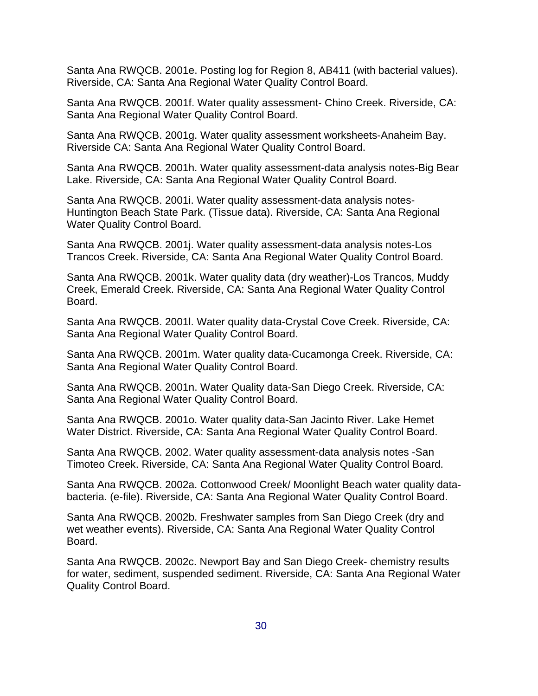Santa Ana RWQCB. 2001e. Posting log for Region 8, AB411 (with bacterial values). Riverside, CA: Santa Ana Regional Water Quality Control Board.

Santa Ana RWQCB. 2001f. Water quality assessment- Chino Creek. Riverside, CA: Santa Ana Regional Water Quality Control Board.

Santa Ana RWQCB. 2001g. Water quality assessment worksheets-Anaheim Bay. Riverside CA: Santa Ana Regional Water Quality Control Board.

Santa Ana RWQCB. 2001h. Water quality assessment-data analysis notes-Big Bear Lake. Riverside, CA: Santa Ana Regional Water Quality Control Board.

Santa Ana RWQCB. 2001i. Water quality assessment-data analysis notes-Huntington Beach State Park. (Tissue data). Riverside, CA: Santa Ana Regional Water Quality Control Board.

Santa Ana RWQCB. 2001j. Water quality assessment-data analysis notes-Los Trancos Creek. Riverside, CA: Santa Ana Regional Water Quality Control Board.

Santa Ana RWQCB. 2001k. Water quality data (dry weather)-Los Trancos, Muddy Creek, Emerald Creek. Riverside, CA: Santa Ana Regional Water Quality Control Board.

Santa Ana RWQCB. 2001l. Water quality data-Crystal Cove Creek. Riverside, CA: Santa Ana Regional Water Quality Control Board.

Santa Ana RWQCB. 2001m. Water quality data-Cucamonga Creek. Riverside, CA: Santa Ana Regional Water Quality Control Board.

Santa Ana RWQCB. 2001n. Water Quality data-San Diego Creek. Riverside, CA: Santa Ana Regional Water Quality Control Board.

Santa Ana RWQCB. 2001o. Water quality data-San Jacinto River. Lake Hemet Water District. Riverside, CA: Santa Ana Regional Water Quality Control Board.

Santa Ana RWQCB. 2002. Water quality assessment-data analysis notes -San Timoteo Creek. Riverside, CA: Santa Ana Regional Water Quality Control Board.

Santa Ana RWQCB. 2002a. Cottonwood Creek/ Moonlight Beach water quality databacteria. (e-file). Riverside, CA: Santa Ana Regional Water Quality Control Board.

Santa Ana RWQCB. 2002b. Freshwater samples from San Diego Creek (dry and wet weather events). Riverside, CA: Santa Ana Regional Water Quality Control Board.

Santa Ana RWQCB. 2002c. Newport Bay and San Diego Creek- chemistry results for water, sediment, suspended sediment. Riverside, CA: Santa Ana Regional Water Quality Control Board.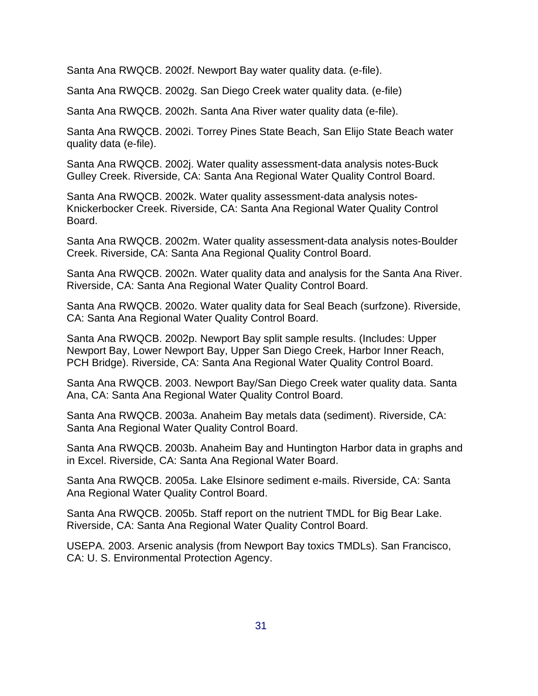Santa Ana RWQCB. 2002f. Newport Bay water quality data. (e-file).

Santa Ana RWQCB. 2002g. San Diego Creek water quality data. (e-file)

Santa Ana RWQCB. 2002h. Santa Ana River water quality data (e-file).

Santa Ana RWQCB. 2002i. Torrey Pines State Beach, San Elijo State Beach water quality data (e-file).

Santa Ana RWQCB. 2002j. Water quality assessment-data analysis notes-Buck Gulley Creek. Riverside, CA: Santa Ana Regional Water Quality Control Board.

Santa Ana RWQCB. 2002k. Water quality assessment-data analysis notes-Knickerbocker Creek. Riverside, CA: Santa Ana Regional Water Quality Control Board.

Santa Ana RWQCB. 2002m. Water quality assessment-data analysis notes-Boulder Creek. Riverside, CA: Santa Ana Regional Quality Control Board.

Santa Ana RWQCB. 2002n. Water quality data and analysis for the Santa Ana River. Riverside, CA: Santa Ana Regional Water Quality Control Board.

Santa Ana RWQCB. 2002o. Water quality data for Seal Beach (surfzone). Riverside, CA: Santa Ana Regional Water Quality Control Board.

Santa Ana RWQCB. 2002p. Newport Bay split sample results. (Includes: Upper Newport Bay, Lower Newport Bay, Upper San Diego Creek, Harbor Inner Reach, PCH Bridge). Riverside, CA: Santa Ana Regional Water Quality Control Board.

Santa Ana RWQCB. 2003. Newport Bay/San Diego Creek water quality data. Santa Ana, CA: Santa Ana Regional Water Quality Control Board.

Santa Ana RWQCB. 2003a. Anaheim Bay metals data (sediment). Riverside, CA: Santa Ana Regional Water Quality Control Board.

Santa Ana RWQCB. 2003b. Anaheim Bay and Huntington Harbor data in graphs and in Excel. Riverside, CA: Santa Ana Regional Water Board.

Santa Ana RWQCB. 2005a. Lake Elsinore sediment e-mails. Riverside, CA: Santa Ana Regional Water Quality Control Board.

Santa Ana RWQCB. 2005b. Staff report on the nutrient TMDL for Big Bear Lake. Riverside, CA: Santa Ana Regional Water Quality Control Board.

USEPA. 2003. Arsenic analysis (from Newport Bay toxics TMDLs). San Francisco, CA: U. S. Environmental Protection Agency.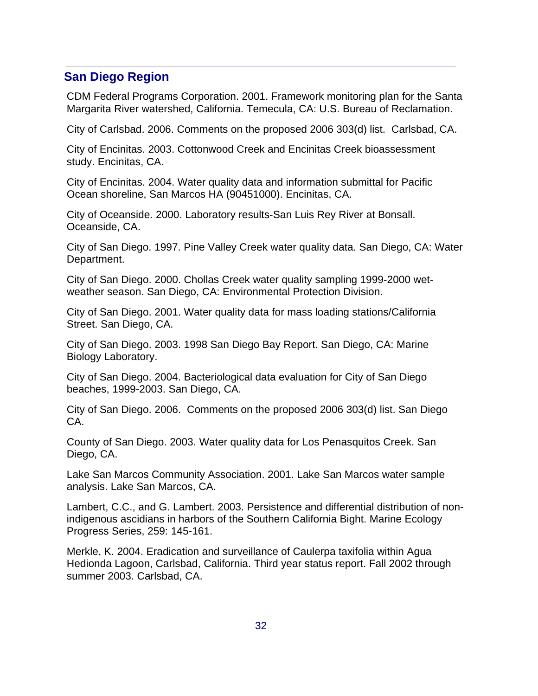### **San Diego Region**

CDM Federal Programs Corporation. 2001. Framework monitoring plan for the Santa Margarita River watershed, California. Temecula, CA: U.S. Bureau of Reclamation.

City of Carlsbad. 2006. Comments on the proposed 2006 303(d) list. Carlsbad, CA.

City of Encinitas. 2003. Cottonwood Creek and Encinitas Creek bioassessment study. Encinitas, CA.

City of Encinitas. 2004. Water quality data and information submittal for Pacific Ocean shoreline, San Marcos HA (90451000). Encinitas, CA.

City of Oceanside. 2000. Laboratory results-San Luis Rey River at Bonsall. Oceanside, CA.

City of San Diego. 1997. Pine Valley Creek water quality data. San Diego, CA: Water Department.

City of San Diego. 2000. Chollas Creek water quality sampling 1999-2000 wetweather season. San Diego, CA: Environmental Protection Division.

City of San Diego. 2001. Water quality data for mass loading stations/California Street. San Diego, CA.

City of San Diego. 2003. 1998 San Diego Bay Report. San Diego, CA: Marine Biology Laboratory.

City of San Diego. 2004. Bacteriological data evaluation for City of San Diego beaches, 1999-2003. San Diego, CA.

City of San Diego. 2006. Comments on the proposed 2006 303(d) list. San Diego CA.

County of San Diego. 2003. Water quality data for Los Penasquitos Creek. San Diego, CA.

Lake San Marcos Community Association. 2001. Lake San Marcos water sample analysis. Lake San Marcos, CA.

Lambert, C.C., and G. Lambert. 2003. Persistence and differential distribution of nonindigenous ascidians in harbors of the Southern California Bight. Marine Ecology Progress Series, 259: 145-161.

Merkle, K. 2004. Eradication and surveillance of Caulerpa taxifolia within Agua Hedionda Lagoon, Carlsbad, California. Third year status report. Fall 2002 through summer 2003. Carlsbad, CA.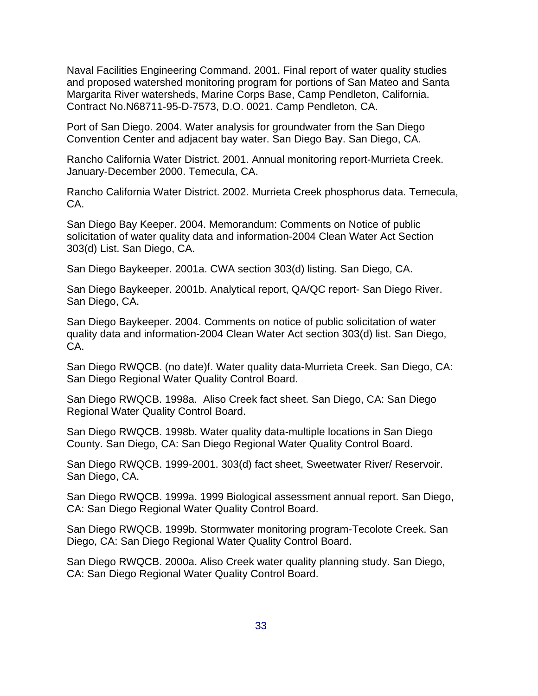Naval Facilities Engineering Command. 2001. Final report of water quality studies and proposed watershed monitoring program for portions of San Mateo and Santa Margarita River watersheds, Marine Corps Base, Camp Pendleton, California. Contract No.N68711-95-D-7573, D.O. 0021. Camp Pendleton, CA.

Port of San Diego. 2004. Water analysis for groundwater from the San Diego Convention Center and adjacent bay water. San Diego Bay. San Diego, CA.

Rancho California Water District. 2001. Annual monitoring report-Murrieta Creek. January-December 2000. Temecula, CA.

Rancho California Water District. 2002. Murrieta Creek phosphorus data. Temecula, CA.

San Diego Bay Keeper. 2004. Memorandum: Comments on Notice of public solicitation of water quality data and information-2004 Clean Water Act Section 303(d) List. San Diego, CA.

San Diego Baykeeper. 2001a. CWA section 303(d) listing. San Diego, CA.

San Diego Baykeeper. 2001b. Analytical report, QA/QC report- San Diego River. San Diego, CA.

San Diego Baykeeper. 2004. Comments on notice of public solicitation of water quality data and information-2004 Clean Water Act section 303(d) list. San Diego, CA.

San Diego RWQCB. (no date)f. Water quality data-Murrieta Creek. San Diego, CA: San Diego Regional Water Quality Control Board.

San Diego RWQCB. 1998a. Aliso Creek fact sheet. San Diego, CA: San Diego Regional Water Quality Control Board.

San Diego RWQCB. 1998b. Water quality data-multiple locations in San Diego County. San Diego, CA: San Diego Regional Water Quality Control Board.

San Diego RWQCB. 1999-2001. 303(d) fact sheet, Sweetwater River/ Reservoir. San Diego, CA.

San Diego RWQCB. 1999a. 1999 Biological assessment annual report. San Diego, CA: San Diego Regional Water Quality Control Board.

San Diego RWQCB. 1999b. Stormwater monitoring program-Tecolote Creek. San Diego, CA: San Diego Regional Water Quality Control Board.

San Diego RWQCB. 2000a. Aliso Creek water quality planning study. San Diego, CA: San Diego Regional Water Quality Control Board.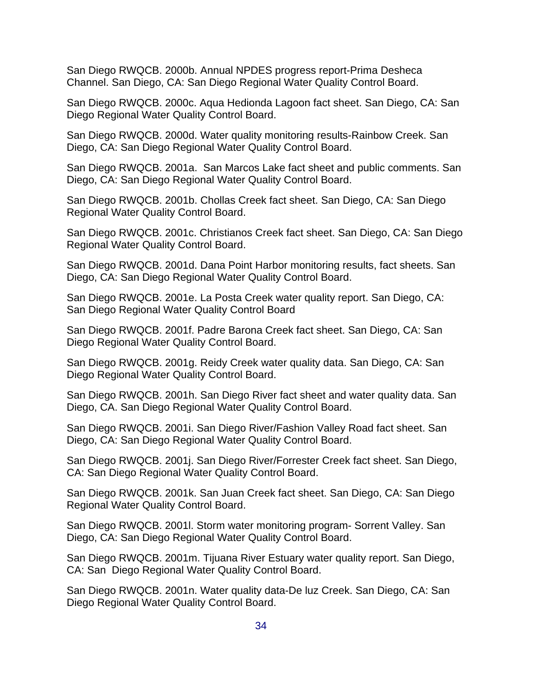San Diego RWQCB. 2000b. Annual NPDES progress report-Prima Desheca Channel. San Diego, CA: San Diego Regional Water Quality Control Board.

San Diego RWQCB. 2000c. Aqua Hedionda Lagoon fact sheet. San Diego, CA: San Diego Regional Water Quality Control Board.

San Diego RWQCB. 2000d. Water quality monitoring results-Rainbow Creek. San Diego, CA: San Diego Regional Water Quality Control Board.

San Diego RWQCB. 2001a. San Marcos Lake fact sheet and public comments. San Diego, CA: San Diego Regional Water Quality Control Board.

San Diego RWQCB. 2001b. Chollas Creek fact sheet. San Diego, CA: San Diego Regional Water Quality Control Board.

San Diego RWQCB. 2001c. Christianos Creek fact sheet. San Diego, CA: San Diego Regional Water Quality Control Board.

San Diego RWQCB. 2001d. Dana Point Harbor monitoring results, fact sheets. San Diego, CA: San Diego Regional Water Quality Control Board.

San Diego RWQCB. 2001e. La Posta Creek water quality report. San Diego, CA: San Diego Regional Water Quality Control Board

San Diego RWQCB. 2001f. Padre Barona Creek fact sheet. San Diego, CA: San Diego Regional Water Quality Control Board.

San Diego RWQCB. 2001g. Reidy Creek water quality data. San Diego, CA: San Diego Regional Water Quality Control Board.

San Diego RWQCB. 2001h. San Diego River fact sheet and water quality data. San Diego, CA. San Diego Regional Water Quality Control Board.

San Diego RWQCB. 2001i. San Diego River/Fashion Valley Road fact sheet. San Diego, CA: San Diego Regional Water Quality Control Board.

San Diego RWQCB. 2001j. San Diego River/Forrester Creek fact sheet. San Diego, CA: San Diego Regional Water Quality Control Board.

San Diego RWQCB. 2001k. San Juan Creek fact sheet. San Diego, CA: San Diego Regional Water Quality Control Board.

San Diego RWQCB. 2001l. Storm water monitoring program- Sorrent Valley. San Diego, CA: San Diego Regional Water Quality Control Board.

San Diego RWQCB. 2001m. Tijuana River Estuary water quality report. San Diego, CA: San Diego Regional Water Quality Control Board.

San Diego RWQCB. 2001n. Water quality data-De luz Creek. San Diego, CA: San Diego Regional Water Quality Control Board.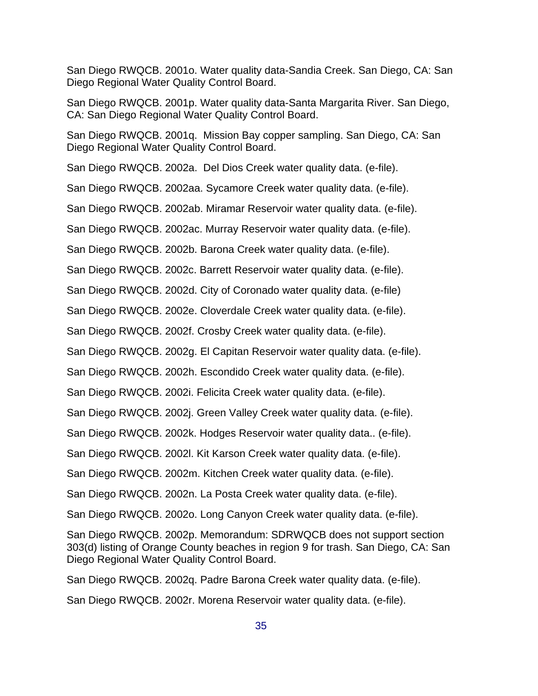San Diego RWQCB. 2001o. Water quality data-Sandia Creek. San Diego, CA: San Diego Regional Water Quality Control Board.

San Diego RWQCB. 2001p. Water quality data-Santa Margarita River. San Diego, CA: San Diego Regional Water Quality Control Board.

San Diego RWQCB. 2001q. Mission Bay copper sampling. San Diego, CA: San Diego Regional Water Quality Control Board.

San Diego RWQCB. 2002a. Del Dios Creek water quality data. (e-file).

San Diego RWQCB. 2002aa. Sycamore Creek water quality data. (e-file).

San Diego RWQCB. 2002ab. Miramar Reservoir water quality data. (e-file).

San Diego RWQCB. 2002ac. Murray Reservoir water quality data. (e-file).

San Diego RWQCB. 2002b. Barona Creek water quality data. (e-file).

San Diego RWQCB. 2002c. Barrett Reservoir water quality data. (e-file).

San Diego RWQCB. 2002d. City of Coronado water quality data. (e-file)

San Diego RWQCB. 2002e. Cloverdale Creek water quality data. (e-file).

San Diego RWQCB. 2002f. Crosby Creek water quality data. (e-file).

San Diego RWQCB. 2002g. El Capitan Reservoir water quality data. (e-file).

San Diego RWQCB. 2002h. Escondido Creek water quality data. (e-file).

San Diego RWQCB. 2002i. Felicita Creek water quality data. (e-file).

San Diego RWQCB. 2002j. Green Valley Creek water quality data. (e-file).

San Diego RWQCB. 2002k. Hodges Reservoir water quality data.. (e-file).

San Diego RWQCB. 2002l. Kit Karson Creek water quality data. (e-file).

San Diego RWQCB. 2002m. Kitchen Creek water quality data. (e-file).

San Diego RWQCB. 2002n. La Posta Creek water quality data. (e-file).

San Diego RWQCB. 2002o. Long Canyon Creek water quality data. (e-file).

San Diego RWQCB. 2002p. Memorandum: SDRWQCB does not support section 303(d) listing of Orange County beaches in region 9 for trash. San Diego, CA: San Diego Regional Water Quality Control Board.

San Diego RWQCB. 2002q. Padre Barona Creek water quality data. (e-file).

San Diego RWQCB. 2002r. Morena Reservoir water quality data. (e-file).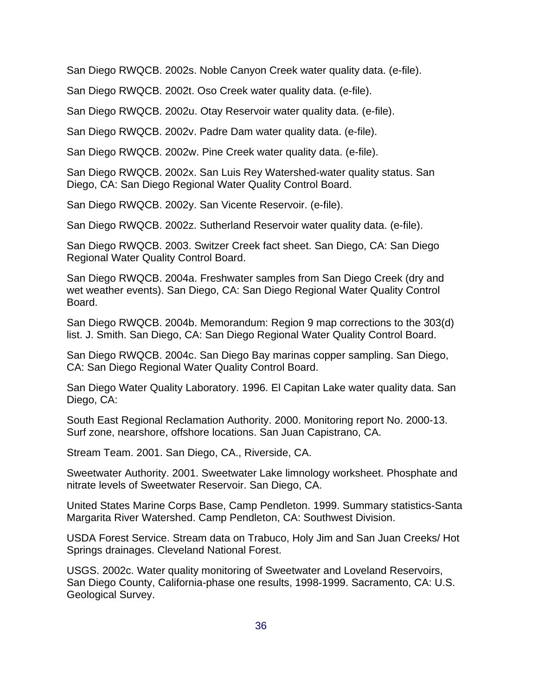San Diego RWQCB. 2002s. Noble Canyon Creek water quality data. (e-file).

San Diego RWQCB. 2002t. Oso Creek water quality data. (e-file).

San Diego RWQCB. 2002u. Otay Reservoir water quality data. (e-file).

San Diego RWQCB. 2002v. Padre Dam water quality data. (e-file).

San Diego RWQCB. 2002w. Pine Creek water quality data. (e-file).

San Diego RWQCB. 2002x. San Luis Rey Watershed-water quality status. San Diego, CA: San Diego Regional Water Quality Control Board.

San Diego RWQCB. 2002y. San Vicente Reservoir. (e-file).

San Diego RWQCB. 2002z. Sutherland Reservoir water quality data. (e-file).

San Diego RWQCB. 2003. Switzer Creek fact sheet. San Diego, CA: San Diego Regional Water Quality Control Board.

San Diego RWQCB. 2004a. Freshwater samples from San Diego Creek (dry and wet weather events). San Diego, CA: San Diego Regional Water Quality Control Board.

San Diego RWQCB. 2004b. Memorandum: Region 9 map corrections to the 303(d) list. J. Smith. San Diego, CA: San Diego Regional Water Quality Control Board.

San Diego RWQCB. 2004c. San Diego Bay marinas copper sampling. San Diego, CA: San Diego Regional Water Quality Control Board.

San Diego Water Quality Laboratory. 1996. El Capitan Lake water quality data. San Diego, CA:

South East Regional Reclamation Authority. 2000. Monitoring report No. 2000-13. Surf zone, nearshore, offshore locations. San Juan Capistrano, CA.

Stream Team. 2001. San Diego, CA., Riverside, CA.

Sweetwater Authority. 2001. Sweetwater Lake limnology worksheet. Phosphate and nitrate levels of Sweetwater Reservoir. San Diego, CA.

United States Marine Corps Base, Camp Pendleton. 1999. Summary statistics-Santa Margarita River Watershed. Camp Pendleton, CA: Southwest Division.

USDA Forest Service. Stream data on Trabuco, Holy Jim and San Juan Creeks/ Hot Springs drainages. Cleveland National Forest.

USGS. 2002c. Water quality monitoring of Sweetwater and Loveland Reservoirs, San Diego County, California-phase one results, 1998-1999. Sacramento, CA: U.S. Geological Survey.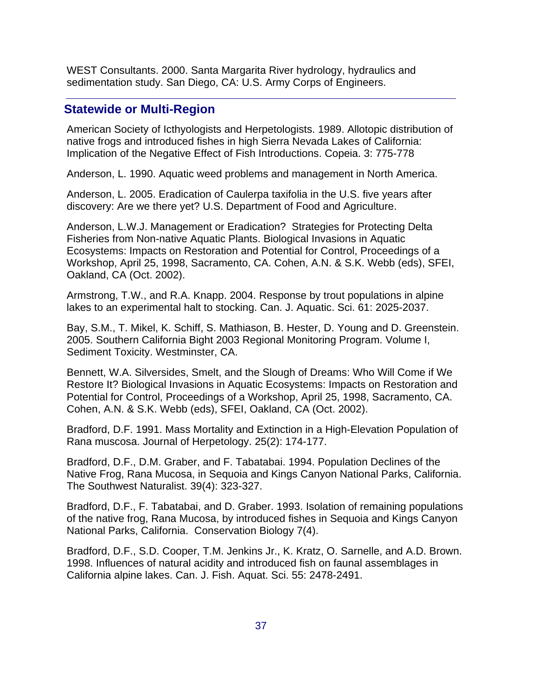WEST Consultants. 2000. Santa Margarita River hydrology, hydraulics and sedimentation study. San Diego, CA: U.S. Army Corps of Engineers.

## **Statewide or Multi-Region**

American Society of Icthyologists and Herpetologists. 1989. Allotopic distribution of native frogs and introduced fishes in high Sierra Nevada Lakes of California: Implication of the Negative Effect of Fish Introductions. Copeia. 3: 775-778

Anderson, L. 1990. Aquatic weed problems and management in North America.

Anderson, L. 2005. Eradication of Caulerpa taxifolia in the U.S. five years after discovery: Are we there yet? U.S. Department of Food and Agriculture.

Anderson, L.W.J. Management or Eradication? Strategies for Protecting Delta Fisheries from Non-native Aquatic Plants. Biological Invasions in Aquatic Ecosystems: Impacts on Restoration and Potential for Control, Proceedings of a Workshop, April 25, 1998, Sacramento, CA. Cohen, A.N. & S.K. Webb (eds), SFEI, Oakland, CA (Oct. 2002).

Armstrong, T.W., and R.A. Knapp. 2004. Response by trout populations in alpine lakes to an experimental halt to stocking. Can. J. Aquatic. Sci. 61: 2025-2037.

Bay, S.M., T. Mikel, K. Schiff, S. Mathiason, B. Hester, D. Young and D. Greenstein. 2005. Southern California Bight 2003 Regional Monitoring Program. Volume I, Sediment Toxicity. Westminster, CA.

Bennett, W.A. Silversides, Smelt, and the Slough of Dreams: Who Will Come if We Restore It? Biological Invasions in Aquatic Ecosystems: Impacts on Restoration and Potential for Control, Proceedings of a Workshop, April 25, 1998, Sacramento, CA. Cohen, A.N. & S.K. Webb (eds), SFEI, Oakland, CA (Oct. 2002).

Bradford, D.F. 1991. Mass Mortality and Extinction in a High-Elevation Population of Rana muscosa. Journal of Herpetology. 25(2): 174-177.

Bradford, D.F., D.M. Graber, and F. Tabatabai. 1994. Population Declines of the Native Frog, Rana Mucosa, in Sequoia and Kings Canyon National Parks, California. The Southwest Naturalist. 39(4): 323-327.

Bradford, D.F., F. Tabatabai, and D. Graber. 1993. Isolation of remaining populations of the native frog, Rana Mucosa, by introduced fishes in Sequoia and Kings Canyon National Parks, California. Conservation Biology 7(4).

Bradford, D.F., S.D. Cooper, T.M. Jenkins Jr., K. Kratz, O. Sarnelle, and A.D. Brown. 1998. Influences of natural acidity and introduced fish on faunal assemblages in California alpine lakes. Can. J. Fish. Aquat. Sci. 55: 2478-2491.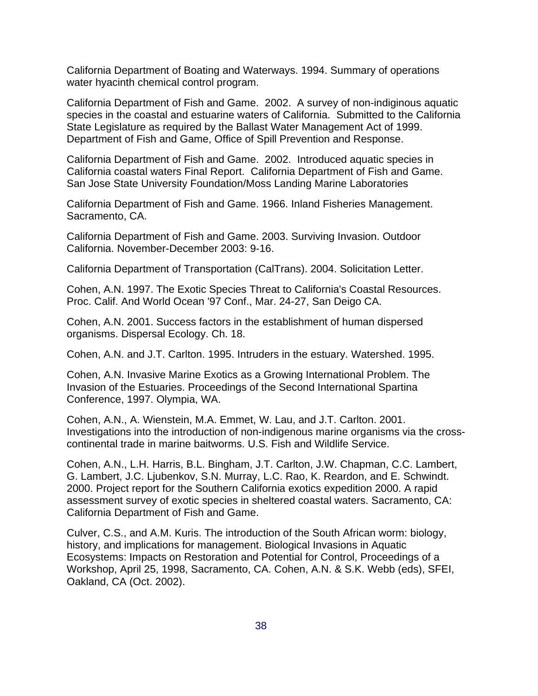California Department of Boating and Waterways. 1994. Summary of operations water hyacinth chemical control program.

California Department of Fish and Game. 2002. A survey of non-indiginous aquatic species in the coastal and estuarine waters of California. Submitted to the California State Legislature as required by the Ballast Water Management Act of 1999. Department of Fish and Game, Office of Spill Prevention and Response.

California Department of Fish and Game. 2002. Introduced aquatic species in California coastal waters Final Report. California Department of Fish and Game. San Jose State University Foundation/Moss Landing Marine Laboratories

California Department of Fish and Game. 1966. Inland Fisheries Management. Sacramento, CA.

California Department of Fish and Game. 2003. Surviving Invasion. Outdoor California. November-December 2003: 9-16.

California Department of Transportation (CalTrans). 2004. Solicitation Letter.

Cohen, A.N. 1997. The Exotic Species Threat to California's Coastal Resources. Proc. Calif. And World Ocean '97 Conf., Mar. 24-27, San Deigo CA.

Cohen, A.N. 2001. Success factors in the establishment of human dispersed organisms. Dispersal Ecology. Ch. 18.

Cohen, A.N. and J.T. Carlton. 1995. Intruders in the estuary. Watershed. 1995.

Cohen, A.N. Invasive Marine Exotics as a Growing International Problem. The Invasion of the Estuaries. Proceedings of the Second International Spartina Conference, 1997. Olympia, WA.

Cohen, A.N., A. Wienstein, M.A. Emmet, W. Lau, and J.T. Carlton. 2001. Investigations into the introduction of non-indigenous marine organisms via the crosscontinental trade in marine baitworms. U.S. Fish and Wildlife Service.

Cohen, A.N., L.H. Harris, B.L. Bingham, J.T. Carlton, J.W. Chapman, C.C. Lambert, G. Lambert, J.C. Ljubenkov, S.N. Murray, L.C. Rao, K. Reardon, and E. Schwindt. 2000. Project report for the Southern California exotics expedition 2000. A rapid assessment survey of exotic species in sheltered coastal waters. Sacramento, CA: California Department of Fish and Game.

Culver, C.S., and A.M. Kuris. The introduction of the South African worm: biology, history, and implications for management. Biological Invasions in Aquatic Ecosystems: Impacts on Restoration and Potential for Control, Proceedings of a Workshop, April 25, 1998, Sacramento, CA. Cohen, A.N. & S.K. Webb (eds), SFEI, Oakland, CA (Oct. 2002).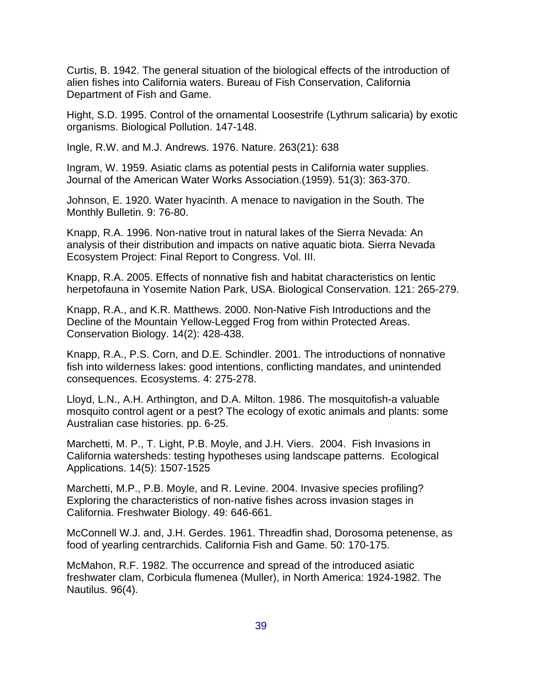Curtis, B. 1942. The general situation of the biological effects of the introduction of alien fishes into California waters. Bureau of Fish Conservation, California Department of Fish and Game.

Hight, S.D. 1995. Control of the ornamental Loosestrife (Lythrum salicaria) by exotic organisms. Biological Pollution. 147-148.

Ingle, R.W. and M.J. Andrews. 1976. Nature. 263(21): 638

Ingram, W. 1959. Asiatic clams as potential pests in California water supplies. Journal of the American Water Works Association.(1959). 51(3): 363-370.

Johnson, E. 1920. Water hyacinth. A menace to navigation in the South. The Monthly Bulletin. 9: 76-80.

Knapp, R.A. 1996. Non-native trout in natural lakes of the Sierra Nevada: An analysis of their distribution and impacts on native aquatic biota. Sierra Nevada Ecosystem Project: Final Report to Congress. Vol. III.

Knapp, R.A. 2005. Effects of nonnative fish and habitat characteristics on lentic herpetofauna in Yosemite Nation Park, USA. Biological Conservation. 121: 265-279.

Knapp, R.A., and K.R. Matthews. 2000. Non-Native Fish Introductions and the Decline of the Mountain Yellow-Legged Frog from within Protected Areas. Conservation Biology. 14(2): 428-438.

Knapp, R.A., P.S. Corn, and D.E. Schindler. 2001. The introductions of nonnative fish into wilderness lakes: good intentions, conflicting mandates, and unintended consequences. Ecosystems. 4: 275-278.

Lloyd, L.N., A.H. Arthington, and D.A. Milton. 1986. The mosquitofish-a valuable mosquito control agent or a pest? The ecology of exotic animals and plants: some Australian case histories. pp. 6-25.

Marchetti, M. P., T. Light, P.B. Moyle, and J.H. Viers. 2004. Fish Invasions in California watersheds: testing hypotheses using landscape patterns. Ecological Applications. 14(5): 1507-1525

Marchetti, M.P., P.B. Moyle, and R. Levine. 2004. Invasive species profiling? Exploring the characteristics of non-native fishes across invasion stages in California. Freshwater Biology. 49: 646-661.

McConnell W.J. and, J.H. Gerdes. 1961. Threadfin shad, Dorosoma petenense, as food of yearling centrarchids. California Fish and Game. 50: 170-175.

McMahon, R.F. 1982. The occurrence and spread of the introduced asiatic freshwater clam, Corbicula flumenea (Muller), in North America: 1924-1982. The Nautilus. 96(4).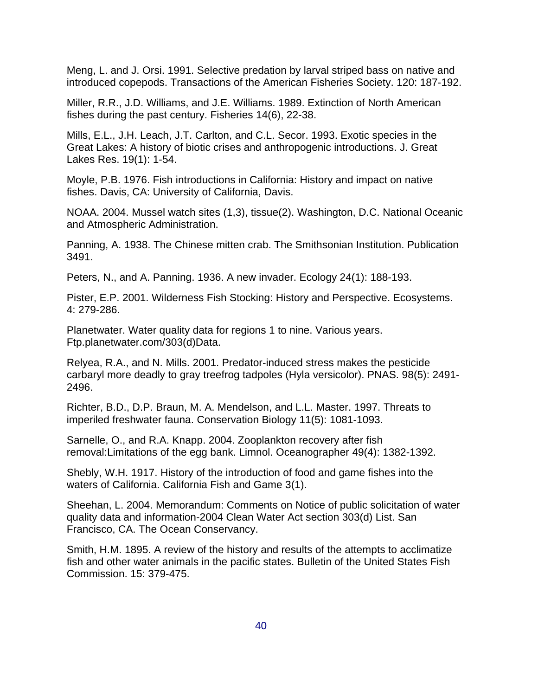Meng, L. and J. Orsi. 1991. Selective predation by larval striped bass on native and introduced copepods. Transactions of the American Fisheries Society. 120: 187-192.

Miller, R.R., J.D. Williams, and J.E. Williams. 1989. Extinction of North American fishes during the past century. Fisheries 14(6), 22-38.

Mills, E.L., J.H. Leach, J.T. Carlton, and C.L. Secor. 1993. Exotic species in the Great Lakes: A history of biotic crises and anthropogenic introductions. J. Great Lakes Res. 19(1): 1-54.

Moyle, P.B. 1976. Fish introductions in California: History and impact on native fishes. Davis, CA: University of California, Davis.

NOAA. 2004. Mussel watch sites (1,3), tissue(2). Washington, D.C. National Oceanic and Atmospheric Administration.

Panning, A. 1938. The Chinese mitten crab. The Smithsonian Institution. Publication 3491.

Peters, N., and A. Panning. 1936. A new invader. Ecology 24(1): 188-193.

Pister, E.P. 2001. Wilderness Fish Stocking: History and Perspective. Ecosystems. 4: 279-286.

Planetwater. Water quality data for regions 1 to nine. Various years. Ftp.planetwater.com/303(d)Data.

Relyea, R.A., and N. Mills. 2001. Predator-induced stress makes the pesticide carbaryl more deadly to gray treefrog tadpoles (Hyla versicolor). PNAS. 98(5): 2491- 2496.

Richter, B.D., D.P. Braun, M. A. Mendelson, and L.L. Master. 1997. Threats to imperiled freshwater fauna. Conservation Biology 11(5): 1081-1093.

Sarnelle, O., and R.A. Knapp. 2004. Zooplankton recovery after fish removal:Limitations of the egg bank. Limnol. Oceanographer 49(4): 1382-1392.

Shebly, W.H. 1917. History of the introduction of food and game fishes into the waters of California. California Fish and Game 3(1).

Sheehan, L. 2004. Memorandum: Comments on Notice of public solicitation of water quality data and information-2004 Clean Water Act section 303(d) List. San Francisco, CA. The Ocean Conservancy.

Smith, H.M. 1895. A review of the history and results of the attempts to acclimatize fish and other water animals in the pacific states. Bulletin of the United States Fish Commission. 15: 379-475.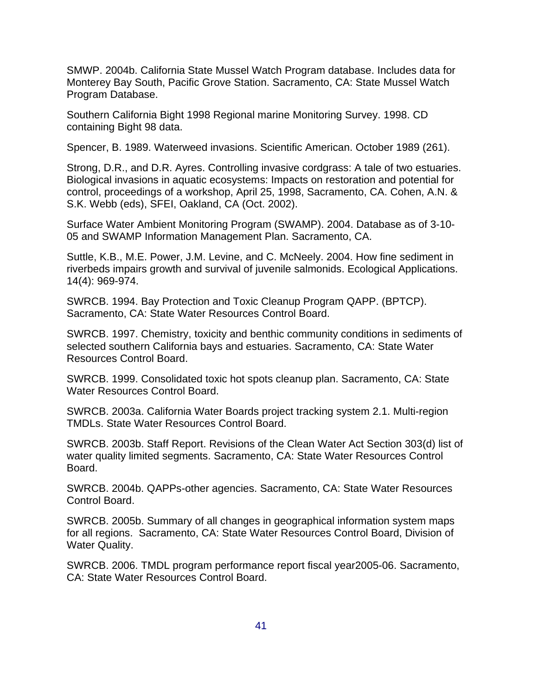SMWP. 2004b. California State Mussel Watch Program database. Includes data for Monterey Bay South, Pacific Grove Station. Sacramento, CA: State Mussel Watch Program Database.

Southern California Bight 1998 Regional marine Monitoring Survey. 1998. CD containing Bight 98 data.

Spencer, B. 1989. Waterweed invasions. Scientific American. October 1989 (261).

Strong, D.R., and D.R. Ayres. Controlling invasive cordgrass: A tale of two estuaries. Biological invasions in aquatic ecosystems: Impacts on restoration and potential for control, proceedings of a workshop, April 25, 1998, Sacramento, CA. Cohen, A.N. & S.K. Webb (eds), SFEI, Oakland, CA (Oct. 2002).

Surface Water Ambient Monitoring Program (SWAMP). 2004. Database as of 3-10- 05 and SWAMP Information Management Plan. Sacramento, CA.

Suttle, K.B., M.E. Power, J.M. Levine, and C. McNeely. 2004. How fine sediment in riverbeds impairs growth and survival of juvenile salmonids. Ecological Applications. 14(4): 969-974.

SWRCB. 1994. Bay Protection and Toxic Cleanup Program QAPP. (BPTCP). Sacramento, CA: State Water Resources Control Board.

SWRCB. 1997. Chemistry, toxicity and benthic community conditions in sediments of selected southern California bays and estuaries. Sacramento, CA: State Water Resources Control Board.

SWRCB. 1999. Consolidated toxic hot spots cleanup plan. Sacramento, CA: State Water Resources Control Board.

SWRCB. 2003a. California Water Boards project tracking system 2.1. Multi-region TMDLs. State Water Resources Control Board.

SWRCB. 2003b. Staff Report. Revisions of the Clean Water Act Section 303(d) list of water quality limited segments. Sacramento, CA: State Water Resources Control Board.

SWRCB. 2004b. QAPPs-other agencies. Sacramento, CA: State Water Resources Control Board.

SWRCB. 2005b. Summary of all changes in geographical information system maps for all regions. Sacramento, CA: State Water Resources Control Board, Division of Water Quality.

SWRCB. 2006. TMDL program performance report fiscal year2005-06. Sacramento, CA: State Water Resources Control Board.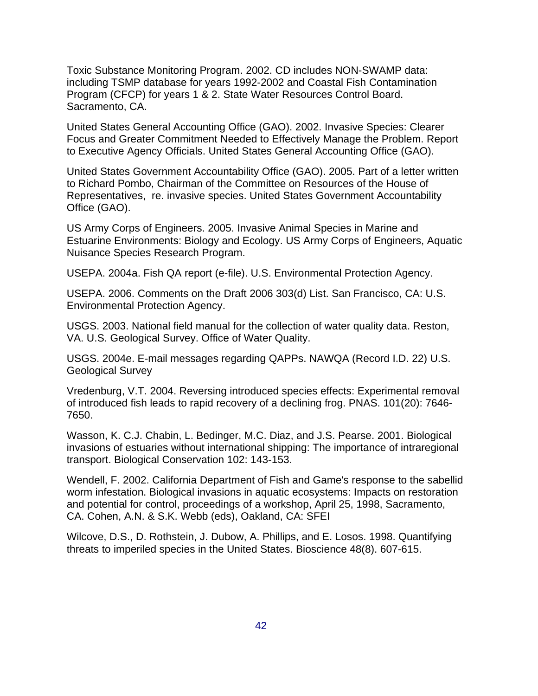Toxic Substance Monitoring Program. 2002. CD includes NON-SWAMP data: including TSMP database for years 1992-2002 and Coastal Fish Contamination Program (CFCP) for years 1 & 2. State Water Resources Control Board. Sacramento, CA.

United States General Accounting Office (GAO). 2002. Invasive Species: Clearer Focus and Greater Commitment Needed to Effectively Manage the Problem. Report to Executive Agency Officials. United States General Accounting Office (GAO).

United States Government Accountability Office (GAO). 2005. Part of a letter written to Richard Pombo, Chairman of the Committee on Resources of the House of Representatives, re. invasive species. United States Government Accountability Office (GAO).

US Army Corps of Engineers. 2005. Invasive Animal Species in Marine and Estuarine Environments: Biology and Ecology. US Army Corps of Engineers, Aquatic Nuisance Species Research Program.

USEPA. 2004a. Fish QA report (e-file). U.S. Environmental Protection Agency.

USEPA. 2006. Comments on the Draft 2006 303(d) List. San Francisco, CA: U.S. Environmental Protection Agency.

USGS. 2003. National field manual for the collection of water quality data. Reston, VA. U.S. Geological Survey. Office of Water Quality.

USGS. 2004e. E-mail messages regarding QAPPs. NAWQA (Record I.D. 22) U.S. Geological Survey

Vredenburg, V.T. 2004. Reversing introduced species effects: Experimental removal of introduced fish leads to rapid recovery of a declining frog. PNAS. 101(20): 7646- 7650.

Wasson, K. C.J. Chabin, L. Bedinger, M.C. Diaz, and J.S. Pearse. 2001. Biological invasions of estuaries without international shipping: The importance of intraregional transport. Biological Conservation 102: 143-153.

Wendell, F. 2002. California Department of Fish and Game's response to the sabellid worm infestation. Biological invasions in aquatic ecosystems: Impacts on restoration and potential for control, proceedings of a workshop, April 25, 1998, Sacramento, CA. Cohen, A.N. & S.K. Webb (eds), Oakland, CA: SFEI

Wilcove, D.S., D. Rothstein, J. Dubow, A. Phillips, and E. Losos. 1998. Quantifying threats to imperiled species in the United States. Bioscience 48(8). 607-615.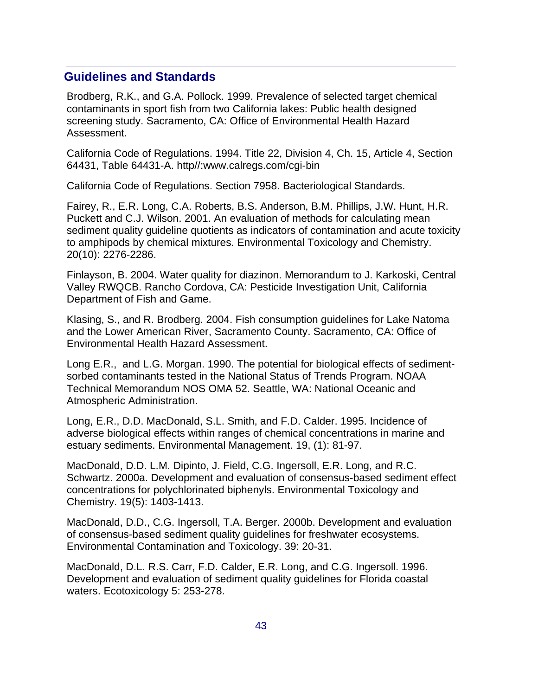#### **Guidelines and Standards**

Brodberg, R.K., and G.A. Pollock. 1999. Prevalence of selected target chemical contaminants in sport fish from two California lakes: Public health designed screening study. Sacramento, CA: Office of Environmental Health Hazard Assessment.

California Code of Regulations. 1994. Title 22, Division 4, Ch. 15, Article 4, Section 64431, Table 64431-A. http//:www.calregs.com/cgi-bin

California Code of Regulations. Section 7958. Bacteriological Standards.

Fairey, R., E.R. Long, C.A. Roberts, B.S. Anderson, B.M. Phillips, J.W. Hunt, H.R. Puckett and C.J. Wilson. 2001. An evaluation of methods for calculating mean sediment quality guideline quotients as indicators of contamination and acute toxicity to amphipods by chemical mixtures. Environmental Toxicology and Chemistry. 20(10): 2276-2286.

Finlayson, B. 2004. Water quality for diazinon. Memorandum to J. Karkoski, Central Valley RWQCB. Rancho Cordova, CA: Pesticide Investigation Unit, California Department of Fish and Game.

Klasing, S., and R. Brodberg. 2004. Fish consumption guidelines for Lake Natoma and the Lower American River, Sacramento County. Sacramento, CA: Office of Environmental Health Hazard Assessment.

Long E.R., and L.G. Morgan. 1990. The potential for biological effects of sedimentsorbed contaminants tested in the National Status of Trends Program. NOAA Technical Memorandum NOS OMA 52. Seattle, WA: National Oceanic and Atmospheric Administration.

Long, E.R., D.D. MacDonald, S.L. Smith, and F.D. Calder. 1995. Incidence of adverse biological effects within ranges of chemical concentrations in marine and estuary sediments. Environmental Management. 19, (1): 81-97.

MacDonald, D.D. L.M. Dipinto, J. Field, C.G. Ingersoll, E.R. Long, and R.C. Schwartz. 2000a. Development and evaluation of consensus-based sediment effect concentrations for polychlorinated biphenyls. Environmental Toxicology and Chemistry. 19(5): 1403-1413.

MacDonald, D.D., C.G. Ingersoll, T.A. Berger. 2000b. Development and evaluation of consensus-based sediment quality guidelines for freshwater ecosystems. Environmental Contamination and Toxicology. 39: 20-31.

MacDonald, D.L. R.S. Carr, F.D. Calder, E.R. Long, and C.G. Ingersoll. 1996. Development and evaluation of sediment quality guidelines for Florida coastal waters. Ecotoxicology 5: 253-278.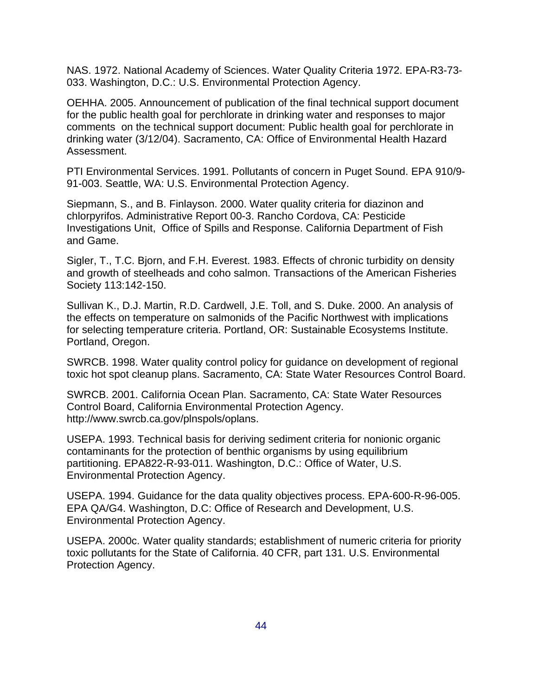NAS. 1972. National Academy of Sciences. Water Quality Criteria 1972. EPA-R3-73- 033. Washington, D.C.: U.S. Environmental Protection Agency.

OEHHA. 2005. Announcement of publication of the final technical support document for the public health goal for perchlorate in drinking water and responses to major comments on the technical support document: Public health goal for perchlorate in drinking water (3/12/04). Sacramento, CA: Office of Environmental Health Hazard Assessment.

PTI Environmental Services. 1991. Pollutants of concern in Puget Sound. EPA 910/9- 91-003. Seattle, WA: U.S. Environmental Protection Agency.

Siepmann, S., and B. Finlayson. 2000. Water quality criteria for diazinon and chlorpyrifos. Administrative Report 00-3. Rancho Cordova, CA: Pesticide Investigations Unit, Office of Spills and Response. California Department of Fish and Game.

Sigler, T., T.C. Bjorn, and F.H. Everest. 1983. Effects of chronic turbidity on density and growth of steelheads and coho salmon. Transactions of the American Fisheries Society 113:142-150.

Sullivan K., D.J. Martin, R.D. Cardwell, J.E. Toll, and S. Duke. 2000. An analysis of the effects on temperature on salmonids of the Pacific Northwest with implications for selecting temperature criteria. Portland, OR: Sustainable Ecosystems Institute. Portland, Oregon.

SWRCB. 1998. Water quality control policy for guidance on development of regional toxic hot spot cleanup plans. Sacramento, CA: State Water Resources Control Board.

SWRCB. 2001. California Ocean Plan. Sacramento, CA: State Water Resources Control Board, California Environmental Protection Agency. http://www.swrcb.ca.gov/plnspols/oplans.

USEPA. 1993. Technical basis for deriving sediment criteria for nonionic organic contaminants for the protection of benthic organisms by using equilibrium partitioning. EPA822-R-93-011. Washington, D.C.: Office of Water, U.S. Environmental Protection Agency.

USEPA. 1994. Guidance for the data quality objectives process. EPA-600-R-96-005. EPA QA/G4. Washington, D.C: Office of Research and Development, U.S. Environmental Protection Agency.

USEPA. 2000c. Water quality standards; establishment of numeric criteria for priority toxic pollutants for the State of California. 40 CFR, part 131. U.S. Environmental Protection Agency.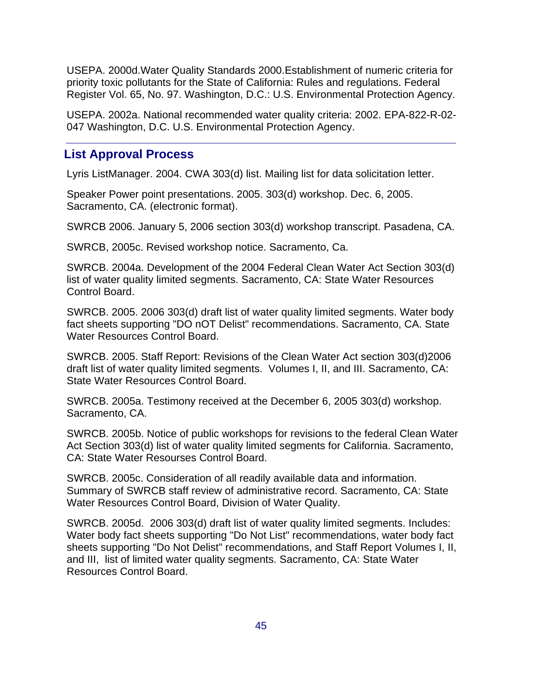USEPA. 2000d.Water Quality Standards 2000.Establishment of numeric criteria for priority toxic pollutants for the State of California: Rules and regulations. Federal Register Vol. 65, No. 97. Washington, D.C.: U.S. Environmental Protection Agency.

USEPA. 2002a. National recommended water quality criteria: 2002. EPA-822-R-02- 047 Washington, D.C. U.S. Environmental Protection Agency.

### **List Approval Process**

Lyris ListManager. 2004. CWA 303(d) list. Mailing list for data solicitation letter.

Speaker Power point presentations. 2005. 303(d) workshop. Dec. 6, 2005. Sacramento, CA. (electronic format).

SWRCB 2006. January 5, 2006 section 303(d) workshop transcript. Pasadena, CA.

SWRCB, 2005c. Revised workshop notice. Sacramento, Ca.

SWRCB. 2004a. Development of the 2004 Federal Clean Water Act Section 303(d) list of water quality limited segments. Sacramento, CA: State Water Resources Control Board.

SWRCB. 2005. 2006 303(d) draft list of water quality limited segments. Water body fact sheets supporting "DO nOT Delist" recommendations. Sacramento, CA. State Water Resources Control Board.

SWRCB. 2005. Staff Report: Revisions of the Clean Water Act section 303(d)2006 draft list of water quality limited segments. Volumes I, II, and III. Sacramento, CA: State Water Resources Control Board.

SWRCB. 2005a. Testimony received at the December 6, 2005 303(d) workshop. Sacramento, CA.

SWRCB. 2005b. Notice of public workshops for revisions to the federal Clean Water Act Section 303(d) list of water quality limited segments for California. Sacramento, CA: State Water Resourses Control Board.

SWRCB. 2005c. Consideration of all readily available data and information. Summary of SWRCB staff review of administrative record. Sacramento, CA: State Water Resources Control Board, Division of Water Quality.

SWRCB. 2005d. 2006 303(d) draft list of water quality limited segments. Includes: Water body fact sheets supporting "Do Not List" recommendations, water body fact sheets supporting "Do Not Delist" recommendations, and Staff Report Volumes I, II, and III, list of limited water quality segments. Sacramento, CA: State Water Resources Control Board.